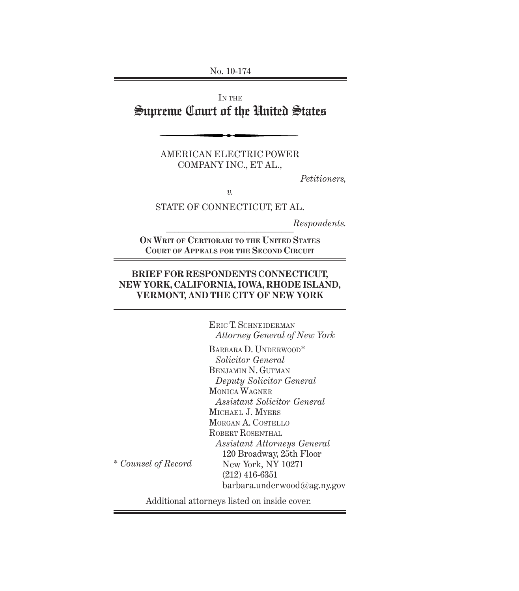No. 10-174

## IN THE Supreme Court of the United States

AMERICAN ELECTRIC POWER COMPANY INC., ET AL.,

*Petitioners,*

*v.*

STATE OF CONNECTICUT, ET AL.

 $\mathcal{L}_\text{max}$  and  $\mathcal{L}_\text{max}$  and  $\mathcal{L}_\text{max}$  and  $\mathcal{L}_\text{max}$ *Respondents.*

**ON WRIT OF CERTIORARI TO THE UNITED STATES COURT OF APPEALS FOR THE SECOND CIRCUIT**

### **BRIEF FOR RESPONDENTS CONNECTICUT, NEW YORK, CALIFORNIA, IOWA, RHODE ISLAND, VERMONT, AND THE CITY OF NEW YORK**

ERIC T. SCHNEIDERMAN *Attorney General of New York*

BARBARA D. UNDERWOOD\* *Solicitor General* BENJAMIN N. GUTMAN *Deputy Solicitor General* MONICA WAGNER *Assistant Solicitor General* MICHAEL J. MYERS MORGAN A. COSTELLO ROBERT ROSENTHAL *Assistant Attorneys General* 120 Broadway, 25th Floor New York, NY 10271 (212) 416-6351 barbara.underwood@ag.ny.gov

Additional attorneys listed on inside cover.

\* *Counsel of Record*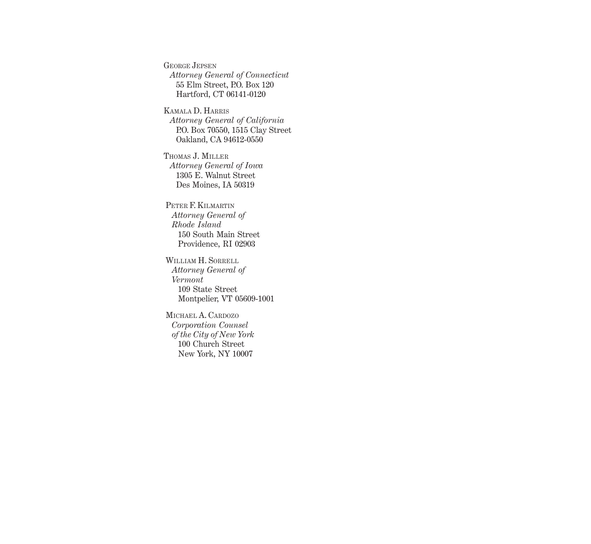GEORGE JEPSEN *Attorney General of Connecticut* 55 Elm Street, P.O. Box 120 Hartford, CT 06141-0120

KAMALA D. HARRIS *Attorney General of California* P.O. Box 70550, 1515 Clay Street Oakland, CA 94612-0550

THOMAS J. MILLER *Attorney General of Iowa* 1305 E. Walnut Street Des Moines, IA 50319

PETER F. KILMARTIN *Attorney General of Rhode Island* 150 South Main Street Providence, RI 02903

WILLIAM H. SORRELL *Attorney General of Vermont* 109 State Street Montpelier, VT 05609-1001

MICHAEL A. CARDOZO *Corporation Counsel of the City of New York* 100 Church Street New York, NY 10007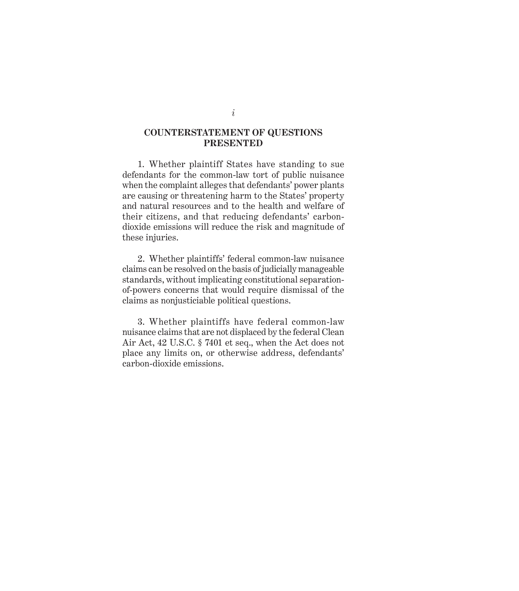#### **COUNTERSTATEMENT OF QUESTIONS PRESENTED**

1. Whether plaintiff States have standing to sue defendants for the common-law tort of public nuisance when the complaint alleges that defendants' power plants are causing or threatening harm to the States' property and natural resources and to the health and welfare of their citizens, and that reducing defendants' carbondioxide emissions will reduce the risk and magnitude of these injuries.

2. Whether plaintiffs' federal common-law nuisance claims can be resolved on the basis of judicially manageable standards, without implicating constitutional separationof-powers concerns that would require dismissal of the claims as nonjusticiable political questions.

3. Whether plaintiffs have federal common-law nuisance claims that are not displaced by the federal Clean Air Act, 42 U.S.C. § 7401 et seq., when the Act does not place any limits on, or otherwise address, defendants' carbon-dioxide emissions.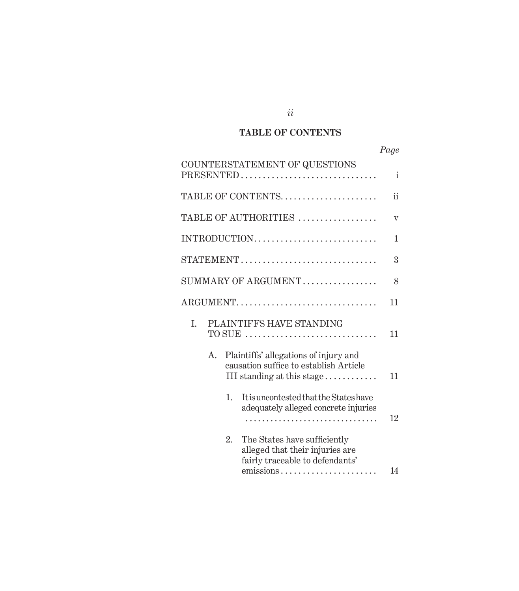### **TABLE OF CONTENTS**

|                                                                                                                       | Page |
|-----------------------------------------------------------------------------------------------------------------------|------|
| COUNTERSTATEMENT OF QUESTIONS<br>PRESENTED                                                                            | i    |
| TABLE OF CONTENTS                                                                                                     | ii   |
| TABLE OF AUTHORITIES                                                                                                  | V    |
|                                                                                                                       | 1    |
| STATEMENT                                                                                                             | 3    |
| SUMMARY OF ARGUMENT                                                                                                   | 8    |
| ARGUMENT                                                                                                              | 11   |
| PLAINTIFFS HAVE STANDING<br>I.                                                                                        | 11   |
| Plaintiffs' allegations of injury and<br>A.<br>causation suffice to establish Article<br>III standing at this stage   | 11   |
| 1.<br>It is uncontested that the States have<br>adequately alleged concrete injuries                                  | 12   |
| 2.<br>The States have sufficiently<br>alleged that their injuries are<br>fairly traceable to defendants'<br>emissions | 14   |

*ii*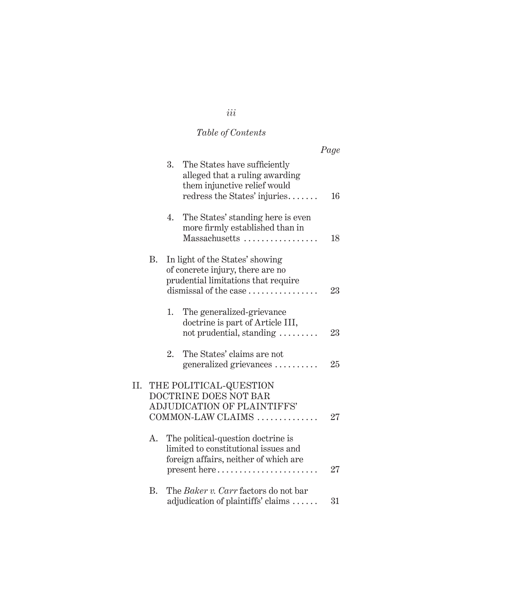# *Table of Contents*

|     |            |    |                                                                                                                                     | Page |
|-----|------------|----|-------------------------------------------------------------------------------------------------------------------------------------|------|
|     |            | 3. | The States have sufficiently<br>alleged that a ruling awarding<br>them injunctive relief would<br>redress the States' injuries      | 16   |
|     |            | 4. | The States' standing here is even<br>more firmly established than in<br>Massachusetts                                               | 18   |
|     | B.         |    | In light of the States' showing<br>of concrete injury, there are no<br>prudential limitations that require<br>dismissal of the case | 23   |
|     |            | 1. | The generalized-grievance<br>doctrine is part of Article III,<br>not prudential, standing                                           | 23   |
|     |            | 2. | The States' claims are not<br>generalized grievances                                                                                | 25   |
| II. |            |    | THE POLITICAL-QUESTION<br><b>DOCTRINE DOES NOT BAR</b><br>ADJUDICATION OF PLAINTIFFS'<br>COMMON-LAW CLAIMS                          | 27   |
|     | A.         |    | The political-question doctrine is<br>limited to constitutional issues and<br>foreign affairs, neither of which are<br>present here | 27   |
|     | $\rm{B}$ . |    | The Baker v. Carr factors do not bar<br>adjudication of plaintiffs' claims                                                          | 31   |

# *iii*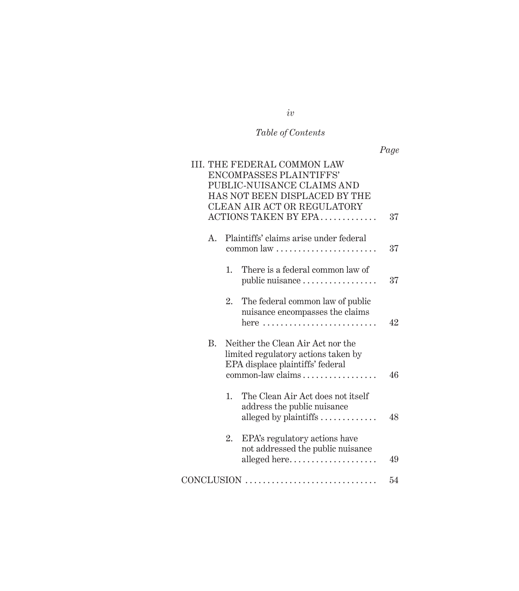# *Table of Contents*

|--|--|

|           |    | <b>III. THE FEDERAL COMMON LAW</b><br>ENCOMPASSES PLAINTIFFS'<br>PUBLIC-NUISANCE CLAIMS AND<br>HAS NOT BEEN DISPLACED BY THE<br>CLEAN AIR ACT OR REGULATORY |    |
|-----------|----|-------------------------------------------------------------------------------------------------------------------------------------------------------------|----|
|           |    | ACTIONS TAKEN BY EPA                                                                                                                                        | 37 |
| A.        |    | Plaintiffs' claims arise under federal<br>$common$ $law$ $\dots$ $\dots$ $\dots$ $\dots$ $\dots$ $\dots$                                                    | 37 |
|           | 1. | There is a federal common law of<br>public nuisance                                                                                                         | 37 |
|           | 2. | The federal common law of public<br>nuisance encompasses the claims<br>here                                                                                 | 42 |
| <b>B.</b> |    | Neither the Clean Air Act nor the<br>limited regulatory actions taken by<br>EPA displace plaintiffs' federal<br>common-law claims                           | 46 |
|           | 1. | The Clean Air Act does not itself<br>address the public nuisance<br>alleged by plaintiffs $\dots\dots\dots\dots$                                            | 48 |
|           | 2. | EPA's regulatory actions have<br>not addressed the public nuisance<br>alleged here                                                                          | 49 |
|           |    | CONCLUSION                                                                                                                                                  | 54 |

*iv*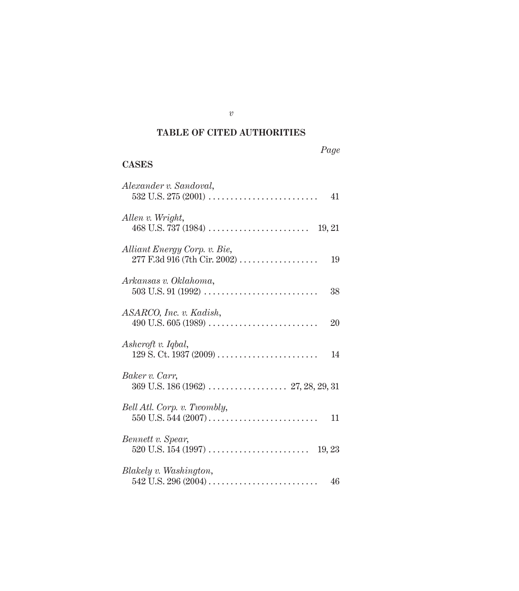### **TABLE OF CITED AUTHORITIES**

### **CASES**

| Alexander v. Sandoval,                                       | 41 |
|--------------------------------------------------------------|----|
| Allen v. Wright,<br>19, 21                                   |    |
| Alliant Energy Corp. v. Bie,<br>277 F.3d 916 (7th Cir. 2002) | 19 |
| Arkansas v. Oklahoma,                                        |    |
| ASARCO, Inc. v. Kadish,                                      | 20 |
| Ashcroft v. Iqbal,                                           | 14 |
| Baker v. Carr,                                               |    |
| Bell Atl. Corp. v. Twombly,                                  | 11 |
| Bennett v. Spear,                                            |    |
| Blakely v. Washington,                                       | 46 |

*v*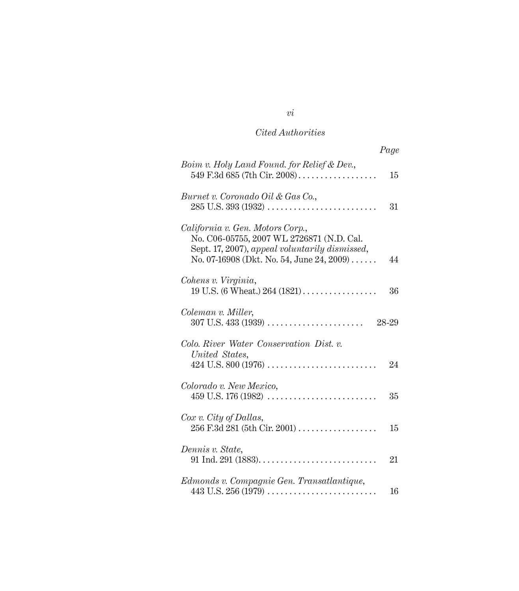|                                                                                                                                                                              | Page  |
|------------------------------------------------------------------------------------------------------------------------------------------------------------------------------|-------|
| Boim v. Holy Land Found. for Relief & Dev.,<br>549 F.3d 685 (7th Cir. 2008)                                                                                                  | 15    |
| Burnet v. Coronado Oil & Gas Co.,                                                                                                                                            | 31    |
| California v. Gen. Motors Corp.,<br>No. C06-05755, 2007 WL 2726871 (N.D. Cal.<br>Sept. 17, 2007), appeal voluntarily dismissed,<br>No. 07-16908 (Dkt. No. 54, June 24, 2009) | 44    |
| Cohens v. Virginia,<br>19 U.S. (6 Wheat.) $264 (1821)$                                                                                                                       | 36    |
| Coleman v. Miller,<br>$307$ U.S. $433$ (1939)                                                                                                                                | 28-29 |
| Colo. River Water Conservation Dist. v.<br>United States,                                                                                                                    | 24    |
| Colorado v. New Mexico,                                                                                                                                                      | 35    |
| $Cox$ v. City of Dallas,<br>$256$ F.3d $281$ (5th Cir. $2001)$                                                                                                               | 15    |
| Dennis v. State,                                                                                                                                                             | 21    |
| Edmonds v. Compagnie Gen. Transatlantique,                                                                                                                                   | 16    |

*vi*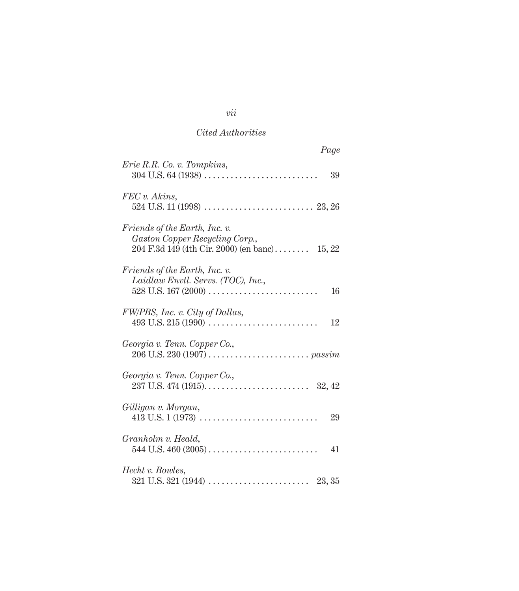| Page                                                                                                                      |  |
|---------------------------------------------------------------------------------------------------------------------------|--|
| Erie R.R. Co. v. Tompkins,<br>39                                                                                          |  |
| FEC v. Akins,                                                                                                             |  |
| <i>Friends of the Earth, Inc. v.</i><br>Gaston Copper Recycling Corp.,<br>$204$ F.3d 149 (4th Cir. 2000) (en banc) 15, 22 |  |
| <i>Friends of the Earth, Inc. v.</i><br>Laidlaw Envtl. Servs. (TOC), Inc.,<br>$528$ U.S. 167 (2000)<br>16                 |  |
| FW/PBS, Inc. v. City of Dallas,<br>12                                                                                     |  |
| Georgia v. Tenn. Copper Co.,                                                                                              |  |
| Georgia v. Tenn. Copper Co.,                                                                                              |  |
| Gilligan v. Morgan,<br>29                                                                                                 |  |
| Granholm v. Heald,<br>41                                                                                                  |  |
| Hecht v. Bowles,                                                                                                          |  |

*vii*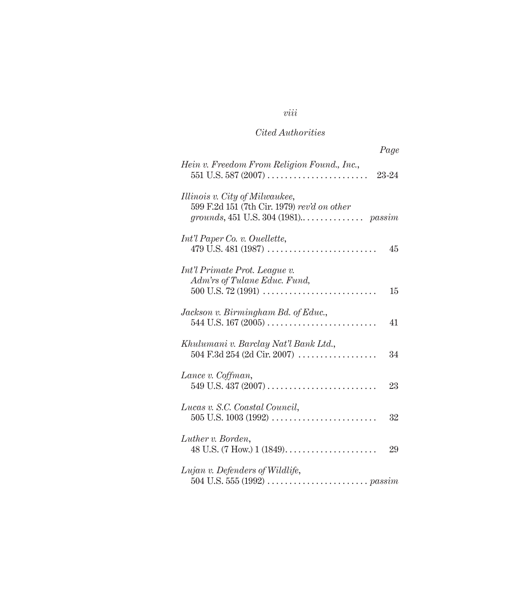# *viii*

### *Cited Authorities*

| Page                                                                                        |
|---------------------------------------------------------------------------------------------|
| Hein v. Freedom From Religion Found., Inc.,<br>23-24                                        |
| Illinois v. City of Milwaukee,<br>599 F.2d 151 (7th Cir. 1979) rev'd on other               |
| Int'l Paper Co. v. Ouellette,<br>479 U.S. 481 (1987)<br>45                                  |
| Int'l Primate Prot. League v.<br>Adm'rs of Tulane Educ. Fund,<br>$500$ U.S. 72 (1991)<br>15 |
| Jackson v. Birmingham Bd. of Educ.,<br>41                                                   |
| Khulumani v. Barclay Nat'l Bank Ltd.,<br>$504 \text{ F.}3d 254$ (2d Cir. 2007)<br>34        |
| Lance v. Coffman,<br>23                                                                     |
| Lucas v. S.C. Coastal Council,<br>$505$ U.S. $1003$ (1992)<br>32                            |
| Luther v. Borden,<br>29                                                                     |
| Lujan v. Defenders of Wildlife,                                                             |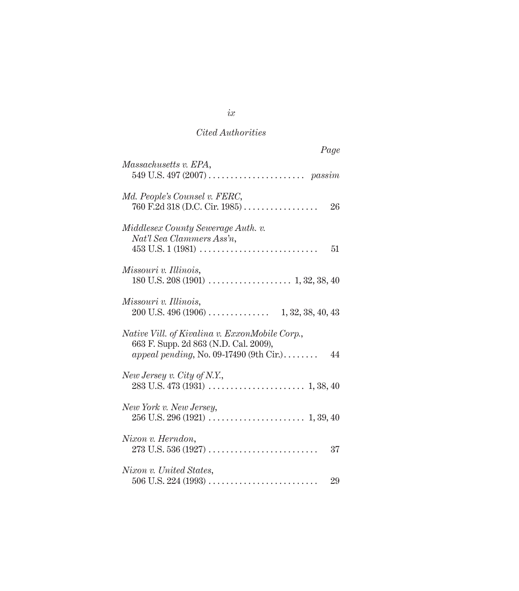| Page                                                                                                                                     |
|------------------------------------------------------------------------------------------------------------------------------------------|
| Massachusetts v. EPA,                                                                                                                    |
| Md. People's Counsel v. FERC,<br>760 F.2d 318 (D.C. Cir. 1985)<br>26                                                                     |
| Middlesex County Sewerage Auth. v.<br>Nat'l Sea Clammers Ass'n,<br>51                                                                    |
| Missouri v. Illinois,                                                                                                                    |
| Missouri v. Illinois,                                                                                                                    |
| Native Vill. of Kivalina v. ExxonMobile Corp.,<br>663 F. Supp. 2d 863 (N.D. Cal. 2009),<br>appeal pending, No. 09-17490 (9th Cir.)<br>44 |
| New Jersey v. City of N.Y.,                                                                                                              |
| New York v. New Jersey,                                                                                                                  |
| Nixon v. Herndon,<br>37                                                                                                                  |
| Nixon v. United States,<br>29                                                                                                            |

*ix*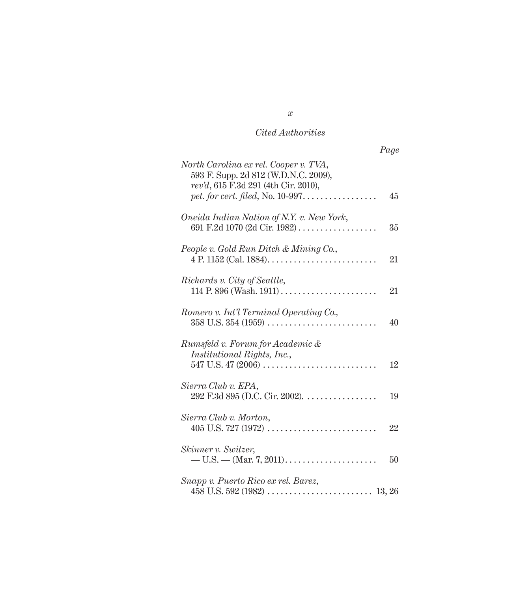|                                                                                                                       | Page |
|-----------------------------------------------------------------------------------------------------------------------|------|
| North Carolina ex rel. Cooper v. TVA,<br>593 F. Supp. 2d 812 (W.D.N.C. 2009),<br>rev'd, 615 F.3d 291 (4th Cir. 2010), | 45   |
| Oneida Indian Nation of N.Y. v. New York,<br>691 F.2d 1070 (2d Cir. 1982)                                             | 35   |
| People v. Gold Run Ditch & Mining Co.,<br>$4 P. 1152 (Cal. 1884) \dots \dots \dots \dots \dots \dots \dots \dots$     | 21   |
| Richards v. City of Seattle,                                                                                          | 21   |
| Romero v. Int'l Terminal Operating Co.,                                                                               | 40   |
| Rumsfeld v. Forum for Academic &<br>Institutional Rights, Inc.,<br>547 U.S. 47 (2006)                                 | 12   |
| Sierra Club v. EPA,<br>$292$ F.3d $895$ (D.C. Cir. 2002).                                                             | 19   |
| Sierra Club v. Morton,                                                                                                | 22   |
| Skinner v. Switzer,                                                                                                   | 50   |
| Snapp v. Puerto Rico ex rel. Barez,                                                                                   |      |

*x*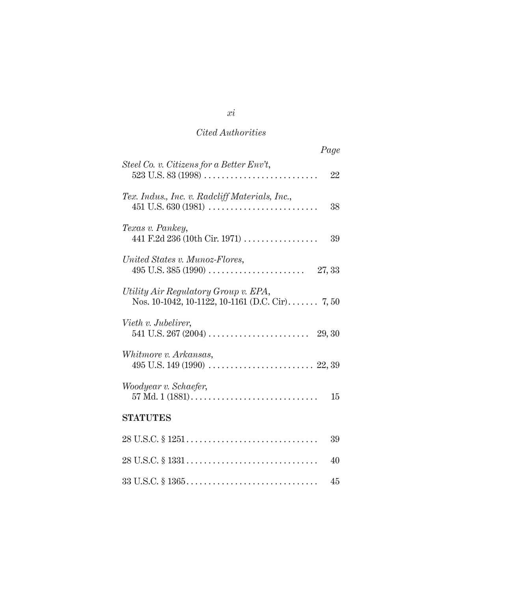| Page                                                                                    |
|-----------------------------------------------------------------------------------------|
| Steel Co. v. Citizens for a Better Env't,<br>22                                         |
| Tex. Indus., Inc. v. Radcliff Materials, Inc.,<br>$451$ U.S. $630$ (1981)<br>38         |
| Texas v. Pankey,<br>441 F.2d 236 (10th Cir. 1971)<br>39                                 |
| United States v. Munoz-Flores,<br>27, 33                                                |
| Utility Air Regulatory Group v. EPA,<br>Nos. 10-1042, 10-1122, 10-1161 (D.C. Cir) 7, 50 |
| Vieth v. Jubelirer,                                                                     |
| Whitmore v. Arkansas,                                                                   |
| Woodyear v. Schaefer,<br>$57$ Md. $1(1881)$<br>15                                       |
| <b>STATUTES</b>                                                                         |
| 39                                                                                      |
| 40                                                                                      |
| 45                                                                                      |

*xi*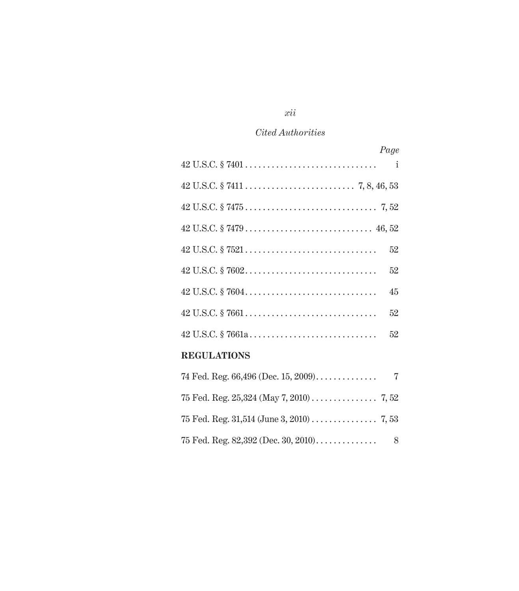| Page                                                                                                                             |  |
|----------------------------------------------------------------------------------------------------------------------------------|--|
|                                                                                                                                  |  |
|                                                                                                                                  |  |
|                                                                                                                                  |  |
|                                                                                                                                  |  |
| 52                                                                                                                               |  |
| 52                                                                                                                               |  |
| 45                                                                                                                               |  |
| 52                                                                                                                               |  |
| 52                                                                                                                               |  |
| <b>REGULATIONS</b>                                                                                                               |  |
| $74$ E <sub>2</sub> d, D <sub>2</sub> $\alpha$ , G <sub>6</sub> $40$ <sub>6</sub> (D <sub>20</sub> , 15, 9000)<br>$\overline{7}$ |  |

### *xii*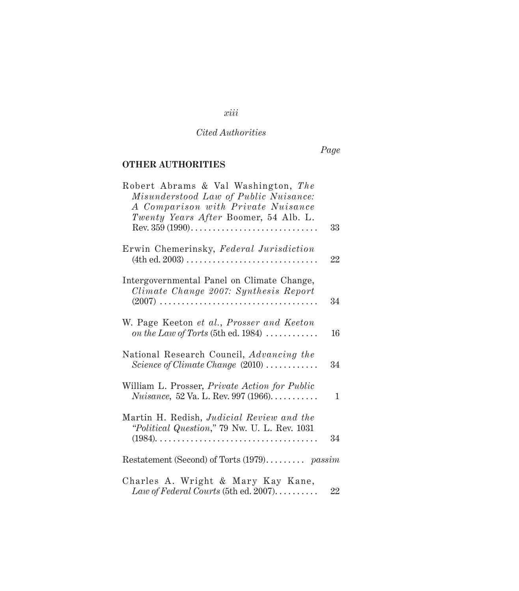*Page*

### **OTHER AUTHORITIES**

| Robert Abrams & Val Washington, The<br>Misunderstood Law of Public Nuisance:<br>A Comparison with Private Nuisance<br>Twenty Years After Boomer, 54 Alb. L.<br>33 |
|-------------------------------------------------------------------------------------------------------------------------------------------------------------------|
| Erwin Chemerinsky, Federal Jurisdiction<br>22                                                                                                                     |
| Intergovernmental Panel on Climate Change,<br>Climate Change 2007: Synthesis Report<br>34                                                                         |
| W. Page Keeton et al., Prosser and Keeton<br>on the Law of Torts (5th ed. 1984) $\ldots$<br>16                                                                    |
| National Research Council, Advancing the<br>Science of Climate Change $(2010)$<br>34                                                                              |
| William L. Prosser, <i>Private Action for Public</i><br><i>Nuisance</i> , 52 Va. L. Rev. 997 (1966).<br>$\mathbf{1}$                                              |
| Martin H. Redish, Judicial Review and the<br>"Political Question," 79 Nw. U. L. Rev. 1031<br>34                                                                   |
| Restatement (Second) of Torts (1979) passim                                                                                                                       |
| Charles A. Wright & Mary Kay Kane,<br>Law of Federal Courts (5th ed. 2007)<br>22                                                                                  |

### *xiii*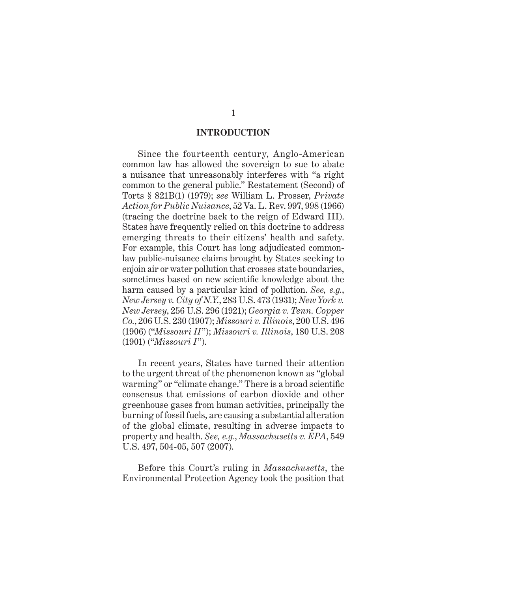#### **INTRODUCTION**

Since the fourteenth century, Anglo-American common law has allowed the sovereign to sue to abate a nuisance that unreasonably interferes with "a right common to the general public." Restatement (Second) of Torts § 821B(1) (1979); *see* William L. Prosser, *Private Action for Public Nuisance*, 52 Va. L. Rev. 997, 998 (1966) (tracing the doctrine back to the reign of Edward III). States have frequently relied on this doctrine to address emerging threats to their citizens' health and safety. For example, this Court has long adjudicated commonlaw public-nuisance claims brought by States seeking to enjoin air or water pollution that crosses state boundaries, sometimes based on new scientific knowledge about the harm caused by a particular kind of pollution. *See, e.g.*, *New Jersey v. City of N.Y.*, 283 U.S. 473 (1931); *New York v. New Jersey*, 256 U.S. 296 (1921); *Georgia v. Tenn. Copper Co.*, 206 U.S. 230 (1907); *Missouri v. Illinois*, 200 U.S. 496 (1906) ("*Missouri II*"); *Missouri v. Illinois*, 180 U.S. 208 (1901) ("*Missouri I*").

In recent years, States have turned their attention to the urgent threat of the phenomenon known as "global warming" or "climate change." There is a broad scientific consensus that emissions of carbon dioxide and other greenhouse gases from human activities, principally the burning of fossil fuels, are causing a substantial alteration of the global climate, resulting in adverse impacts to property and health. *See, e.g.*, *Massachusetts v. EPA*, 549 U.S. 497, 504-05, 507 (2007).

Before this Court's ruling in *Massachusetts*, the Environmental Protection Agency took the position that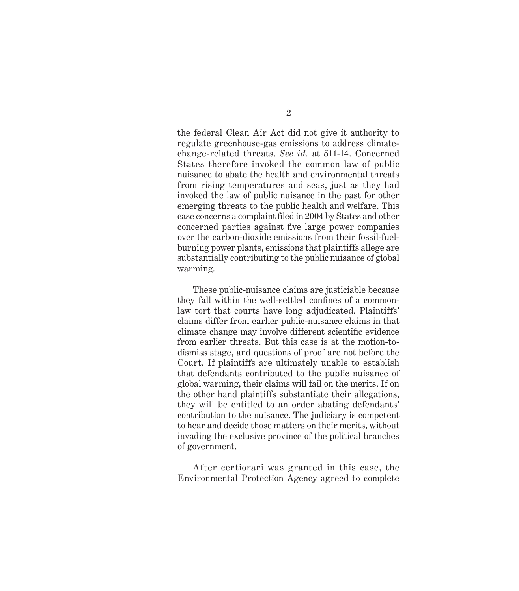the federal Clean Air Act did not give it authority to regulate greenhouse-gas emissions to address climatechange-related threats. *See id.* at 511-14. Concerned States therefore invoked the common law of public nuisance to abate the health and environmental threats from rising temperatures and seas, just as they had invoked the law of public nuisance in the past for other emerging threats to the public health and welfare. This case concerns a complaint filed in 2004 by States and other concerned parties against five large power companies over the carbon-dioxide emissions from their fossil-fuelburning power plants, emissions that plaintiffs allege are substantially contributing to the public nuisance of global warming.

These public-nuisance claims are justiciable because they fall within the well-settled confines of a commonlaw tort that courts have long adjudicated. Plaintiffs' claims differ from earlier public-nuisance claims in that climate change may involve different scientific evidence from earlier threats. But this case is at the motion-todismiss stage, and questions of proof are not before the Court. If plaintiffs are ultimately unable to establish that defendants contributed to the public nuisance of global warming, their claims will fail on the merits. If on the other hand plaintiffs substantiate their allegations, they will be entitled to an order abating defendants' contribution to the nuisance. The judiciary is competent to hear and decide those matters on their merits, without invading the exclusive province of the political branches of government.

After certiorari was granted in this case, the Environmental Protection Agency agreed to complete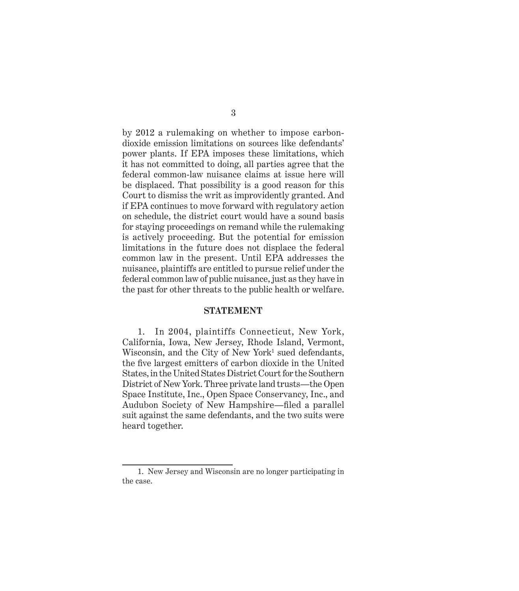by 2012 a rulemaking on whether to impose carbondioxide emission limitations on sources like defendants' power plants. If EPA imposes these limitations, which it has not committed to doing, all parties agree that the federal common-law nuisance claims at issue here will be displaced. That possibility is a good reason for this Court to dismiss the writ as improvidently granted. And if EPA continues to move forward with regulatory action on schedule, the district court would have a sound basis for staying proceedings on remand while the rulemaking is actively proceeding. But the potential for emission limitations in the future does not displace the federal common law in the present. Until EPA addresses the nuisance, plaintiffs are entitled to pursue relief under the federal common law of public nuisance, just as they have in the past for other threats to the public health or welfare.

#### **STATEMENT**

1. In 2004, plaintiffs Connecticut, New York, California, Iowa, New Jersey, Rhode Island, Vermont, Wisconsin, and the City of New York<sup>1</sup> sued defendants, the five largest emitters of carbon dioxide in the United States, in the United States District Court for the Southern District of New York. Three private land trusts—the Open Space Institute, Inc., Open Space Conservancy, Inc., and Audubon Society of New Hampshire—filed a parallel suit against the same defendants, and the two suits were heard together.

<sup>1.</sup> New Jersey and Wisconsin are no longer participating in the case.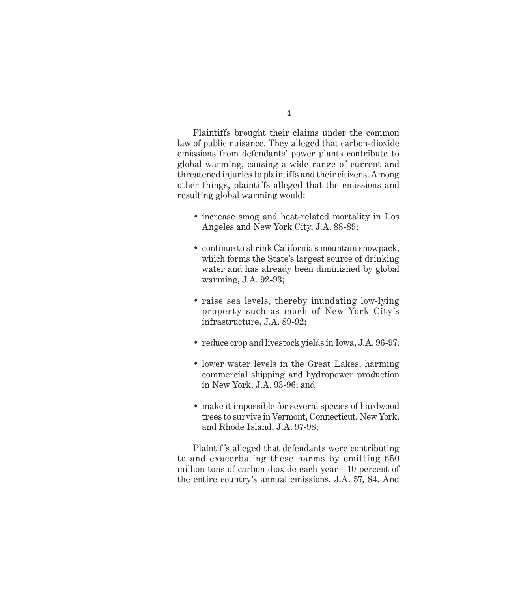Plaintiffs brought their claims under the common law of public nuisance. They alleged that carbon-dioxide emissions from defendants' power plants contribute to global warming, causing a wide range of current and threatened injuries to plaintiffs and their citizens. Among other things, plaintiffs alleged that the emissions and resulting global warming would:

- increase smog and heat-related mortality in Los Angeles and New York City, J.A. 88-89;
- continue to shrink California's mountain snowpack, which forms the State's largest source of drinking water and has already been diminished by global warming, J.A. 92-93;
- raise sea levels, thereby inundating low-lying property such as much of New York City's infrastructure, J.A. 89-92;
- reduce crop and livestock yields in Iowa, J.A. 96-97;
- lower water levels in the Great Lakes, harming commercial shipping and hydropower production in New York, J.A. 93-96; and
- make it impossible for several species of hardwood trees to survive in Vermont, Connecticut, New York, and Rhode Island, J.A. 97-98;

Plaintiffs alleged that defendants were contributing to and exacerbating these harms by emitting 650 million tons of carbon dioxide each year—10 percent of the entire country's annual emissions. J.A. 57, 84. And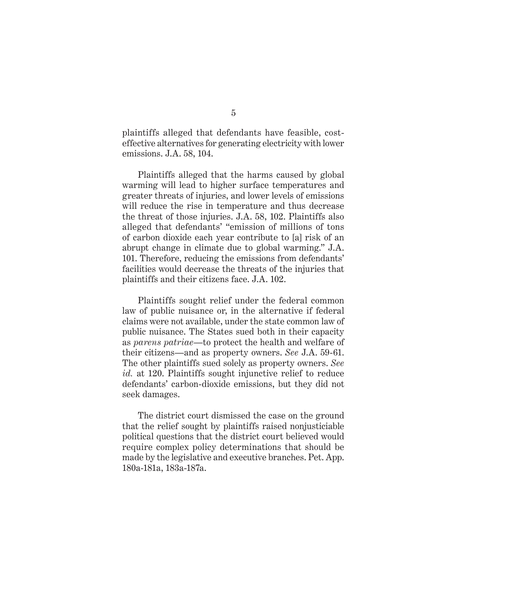plaintiffs alleged that defendants have feasible, costeffective alternatives for generating electricity with lower emissions. J.A. 58, 104.

Plaintiffs alleged that the harms caused by global warming will lead to higher surface temperatures and greater threats of injuries, and lower levels of emissions will reduce the rise in temperature and thus decrease the threat of those injuries. J.A. 58, 102. Plaintiffs also alleged that defendants' "emission of millions of tons of carbon dioxide each year contribute to [a] risk of an abrupt change in climate due to global warming." J.A. 101. Therefore, reducing the emissions from defendants' facilities would decrease the threats of the injuries that plaintiffs and their citizens face. J.A. 102.

Plaintiffs sought relief under the federal common law of public nuisance or, in the alternative if federal claims were not available, under the state common law of public nuisance. The States sued both in their capacity as *parens patriae*—to protect the health and welfare of their citizens—and as property owners. *See* J.A. 59-61. The other plaintiffs sued solely as property owners. *See id.* at 120. Plaintiffs sought injunctive relief to reduce defendants' carbon-dioxide emissions, but they did not seek damages.

The district court dismissed the case on the ground that the relief sought by plaintiffs raised nonjusticiable political questions that the district court believed would require complex policy determinations that should be made by the legislative and executive branches. Pet. App. 180a-181a, 183a-187a.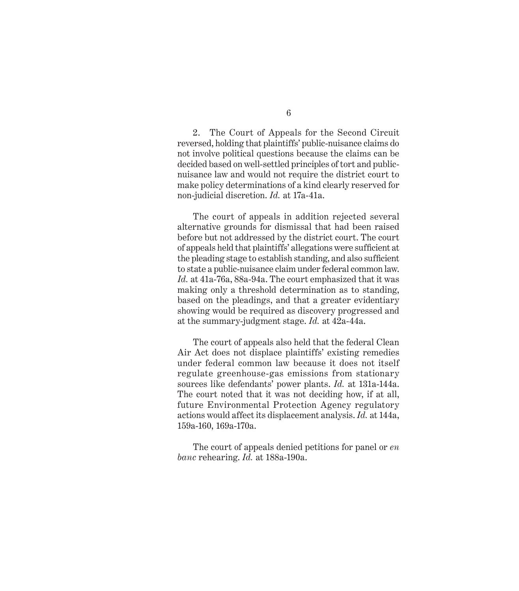6

2. The Court of Appeals for the Second Circuit reversed, holding that plaintiffs' public-nuisance claims do not involve political questions because the claims can be decided based on well-settled principles of tort and publicnuisance law and would not require the district court to make policy determinations of a kind clearly reserved for non-judicial discretion. *Id.* at 17a-41a.

The court of appeals in addition rejected several alternative grounds for dismissal that had been raised before but not addressed by the district court. The court of appeals held that plaintiffs' allegations were sufficient at the pleading stage to establish standing, and also sufficient to state a public-nuisance claim under federal common law. *Id.* at 41a-76a, 88a-94a. The court emphasized that it was making only a threshold determination as to standing, based on the pleadings, and that a greater evidentiary showing would be required as discovery progressed and at the summary-judgment stage. *Id.* at 42a-44a.

The court of appeals also held that the federal Clean Air Act does not displace plaintiffs' existing remedies under federal common law because it does not itself regulate greenhouse-gas emissions from stationary sources like defendants' power plants. *Id.* at 131a-144a. The court noted that it was not deciding how, if at all, future Environmental Protection Agency regulatory actions would affect its displacement analysis. *Id.* at 144a, 159a-160, 169a-170a.

The court of appeals denied petitions for panel or *en banc* rehearing. *Id.* at 188a-190a.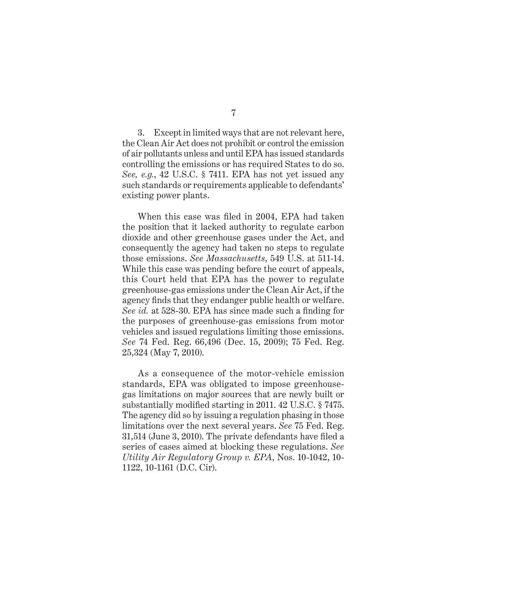3. Except in limited ways that are not relevant here, the Clean Air Act does not prohibit or control the emission of air pollutants unless and until EPA has issued standards controlling the emissions or has required States to do so. *See, e.g.*, 42 U.S.C. § 7411. EPA has not yet issued any such standards or requirements applicable to defendants' existing power plants.

When this case was filed in 2004, EPA had taken the position that it lacked authority to regulate carbon dioxide and other greenhouse gases under the Act, and consequently the agency had taken no steps to regulate those emissions. *See Massachusetts*, 549 U.S. at 511-14. While this case was pending before the court of appeals, this Court held that EPA has the power to regulate greenhouse-gas emissions under the Clean Air Act, if the agency finds that they endanger public health or welfare. *See id.* at 528-30. EPA has since made such a finding for the purposes of greenhouse-gas emissions from motor vehicles and issued regulations limiting those emissions. *See* 74 Fed. Reg. 66,496 (Dec. 15, 2009); 75 Fed. Reg. 25,324 (May 7, 2010).

As a consequence of the motor-vehicle emission standards, EPA was obligated to impose greenhousegas limitations on major sources that are newly built or substantially modified starting in 2011. 42 U.S.C.  $\S$  7475. The agency did so by issuing a regulation phasing in those limitations over the next several years. *See* 75 Fed. Reg.  $31,514$  (June 3, 2010). The private defendants have filed a series of cases aimed at blocking these regulations. *See Utility Air Regulatory Group v. EPA*, Nos. 10-1042, 10- 1122, 10-1161 (D.C. Cir).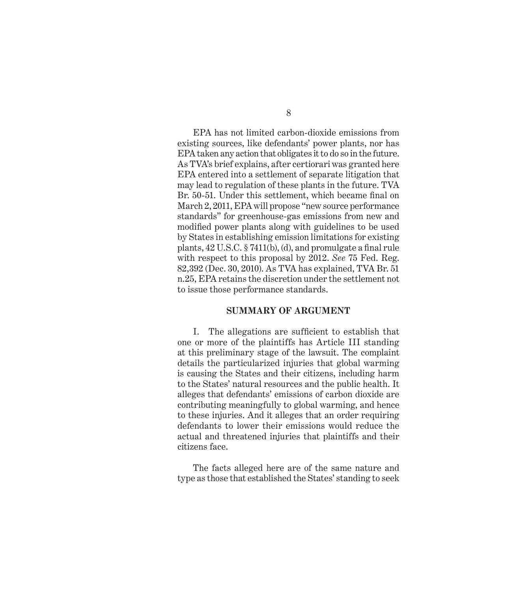EPA has not limited carbon-dioxide emissions from existing sources, like defendants' power plants, nor has EPA taken any action that obligates it to do so in the future. As TVA's brief explains, after certiorari was granted here EPA entered into a settlement of separate litigation that may lead to regulation of these plants in the future. TVA Br. 50-51. Under this settlement, which became final on March 2, 2011, EPA will propose "new source performance standards" for greenhouse-gas emissions from new and modified power plants along with guidelines to be used by States in establishing emission limitations for existing plants,  $42 \text{ U.S.C. }$  § 7411(b), (d), and promulgate a final rule with respect to this proposal by 2012. *See* 75 Fed. Reg. 82,392 (Dec. 30, 2010). As TVA has explained, TVA Br. 51 n.25, EPA retains the discretion under the settlement not to issue those performance standards.

#### **SUMMARY OF ARGUMENT**

I. The allegations are sufficient to establish that one or more of the plaintiffs has Article III standing at this preliminary stage of the lawsuit. The complaint details the particularized injuries that global warming is causing the States and their citizens, including harm to the States' natural resources and the public health. It alleges that defendants' emissions of carbon dioxide are contributing meaningfully to global warming, and hence to these injuries. And it alleges that an order requiring defendants to lower their emissions would reduce the actual and threatened injuries that plaintiffs and their citizens face.

The facts alleged here are of the same nature and type as those that established the States' standing to seek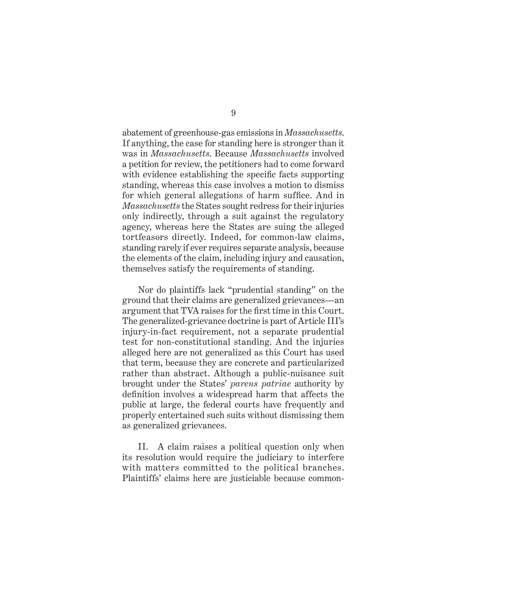abatement of greenhouse-gas emissions in *Massachusetts*. If anything, the case for standing here is stronger than it was in *Massachusetts*. Because *Massachusetts* involved a petition for review, the petitioners had to come forward with evidence establishing the specific facts supporting standing, whereas this case involves a motion to dismiss for which general allegations of harm suffice. And in *Massachusetts* the States sought redress for their injuries only indirectly, through a suit against the regulatory agency, whereas here the States are suing the alleged tortfeasors directly. Indeed, for common-law claims, standing rarely if ever requires separate analysis, because the elements of the claim, including injury and causation, themselves satisfy the requirements of standing.

Nor do plaintiffs lack "prudential standing" on the ground that their claims are generalized grievances—an argument that TVA raises for the first time in this Court. The generalized-grievance doctrine is part of Article III's injury-in-fact requirement, not a separate prudential test for non-constitutional standing. And the injuries alleged here are not generalized as this Court has used that term, because they are concrete and particularized rather than abstract. Although a public-nuisance suit brought under the States' *parens patriae* authority by definition involves a widespread harm that affects the public at large, the federal courts have frequently and properly entertained such suits without dismissing them as generalized grievances.

II. A claim raises a political question only when its resolution would require the judiciary to interfere with matters committed to the political branches. Plaintiffs' claims here are justiciable because common-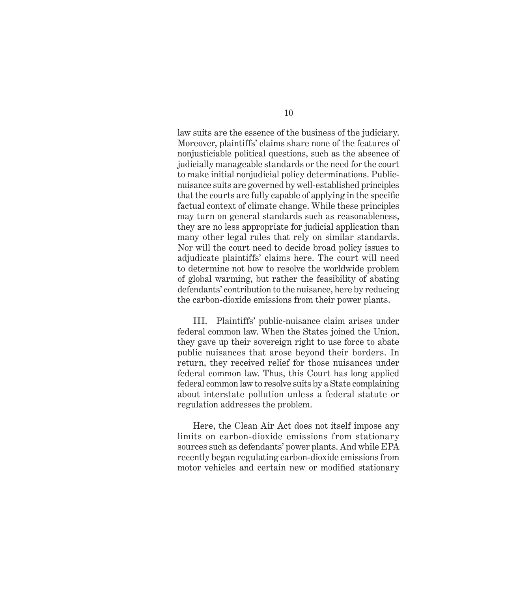law suits are the essence of the business of the judiciary. Moreover, plaintiffs' claims share none of the features of nonjusticiable political questions, such as the absence of judicially manageable standards or the need for the court to make initial nonjudicial policy determinations. Publicnuisance suits are governed by well-established principles that the courts are fully capable of applying in the specific factual context of climate change. While these principles may turn on general standards such as reasonableness, they are no less appropriate for judicial application than many other legal rules that rely on similar standards. Nor will the court need to decide broad policy issues to adjudicate plaintiffs' claims here. The court will need to determine not how to resolve the worldwide problem of global warming, but rather the feasibility of abating defendants' contribution to the nuisance, here by reducing the carbon-dioxide emissions from their power plants.

III. Plaintiffs' public-nuisance claim arises under federal common law. When the States joined the Union, they gave up their sovereign right to use force to abate public nuisances that arose beyond their borders. In return, they received relief for those nuisances under federal common law. Thus, this Court has long applied federal common law to resolve suits by a State complaining about interstate pollution unless a federal statute or regulation addresses the problem.

Here, the Clean Air Act does not itself impose any limits on carbon-dioxide emissions from stationary sources such as defendants' power plants. And while EPA recently began regulating carbon-dioxide emissions from motor vehicles and certain new or modified stationary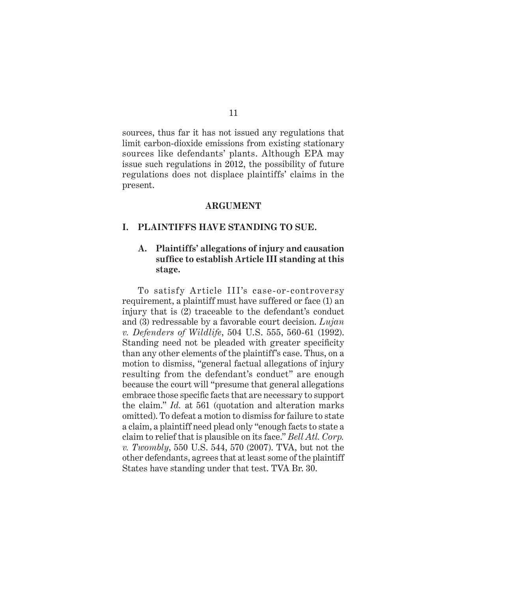sources, thus far it has not issued any regulations that limit carbon-dioxide emissions from existing stationary sources like defendants' plants. Although EPA may issue such regulations in 2012, the possibility of future regulations does not displace plaintiffs' claims in the present.

#### **ARGUMENT**

#### **I. PLAINTIFFS HAVE STANDING TO SUE.**

#### **A. Plaintiffs' allegations of injury and causation suffi ce to establish Article III standing at this stage.**

To satisfy Article III's case-or-controversy requirement, a plaintiff must have suffered or face (1) an injury that is (2) traceable to the defendant's conduct and (3) redressable by a favorable court decision. *Lujan v. Defenders of Wildlife*, 504 U.S. 555, 560-61 (1992). Standing need not be pleaded with greater specificity than any other elements of the plaintiff's case. Thus, on a motion to dismiss, "general factual allegations of injury resulting from the defendant's conduct" are enough because the court will "presume that general allegations embrace those specific facts that are necessary to support the claim." *Id.* at 561 (quotation and alteration marks omitted). To defeat a motion to dismiss for failure to state a claim, a plaintiff need plead only "enough facts to state a claim to relief that is plausible on its face." *Bell Atl. Corp. v. Twombly*, 550 U.S. 544, 570 (2007). TVA, but not the other defendants, agrees that at least some of the plaintiff States have standing under that test. TVA Br. 30.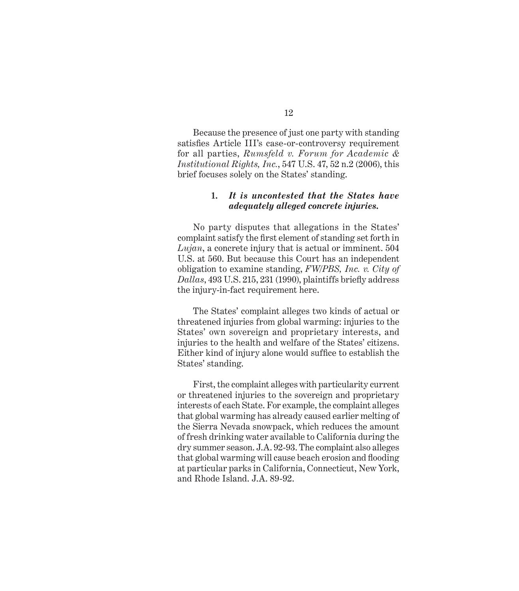Because the presence of just one party with standing satisfies Article III's case-or-controversy requirement for all parties, *Rumsfeld v. Forum for Academic & Institutional Rights, Inc.*, 547 U.S. 47, 52 n.2 (2006), this brief focuses solely on the States' standing.

#### **1.** *It is uncontested that the States have adequately alleged concrete injuries.*

No party disputes that allegations in the States' complaint satisfy the first element of standing set forth in *Lujan*, a concrete injury that is actual or imminent. 504 U.S. at 560. But because this Court has an independent obligation to examine standing, *FW/PBS, Inc. v. City of*  Dallas, 493 U.S. 215, 231 (1990), plaintiffs briefly address the injury-in-fact requirement here.

The States' complaint alleges two kinds of actual or threatened injuries from global warming: injuries to the States' own sovereign and proprietary interests, and injuries to the health and welfare of the States' citizens. Either kind of injury alone would suffice to establish the States' standing.

First, the complaint alleges with particularity current or threatened injuries to the sovereign and proprietary interests of each State. For example, the complaint alleges that global warming has already caused earlier melting of the Sierra Nevada snowpack, which reduces the amount of fresh drinking water available to California during the dry summer season. J.A. 92-93. The complaint also alleges that global warming will cause beach erosion and flooding at particular parks in California, Connecticut, New York, and Rhode Island. J.A. 89-92.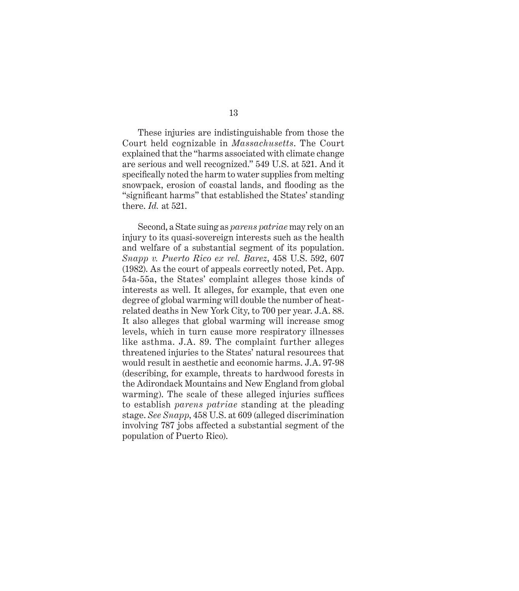These injuries are indistinguishable from those the Court held cognizable in *Massachusetts*. The Court explained that the "harms associated with climate change are serious and well recognized." 549 U.S. at 521. And it specifically noted the harm to water supplies from melting snowpack, erosion of coastal lands, and flooding as the "significant harms" that established the States' standing there. *Id.* at 521.

Second, a State suing as *parens patriae* may rely on an injury to its quasi-sovereign interests such as the health and welfare of a substantial segment of its population. *Snapp v. Puerto Rico ex rel. Barez*, 458 U.S. 592, 607 (1982). As the court of appeals correctly noted, Pet. App. 54a-55a, the States' complaint alleges those kinds of interests as well. It alleges, for example, that even one degree of global warming will double the number of heatrelated deaths in New York City, to 700 per year. J.A. 88. It also alleges that global warming will increase smog levels, which in turn cause more respiratory illnesses like asthma. J.A. 89. The complaint further alleges threatened injuries to the States' natural resources that would result in aesthetic and economic harms. J.A. 97-98 (describing, for example, threats to hardwood forests in the Adirondack Mountains and New England from global warming). The scale of these alleged injuries suffices to establish *parens patriae* standing at the pleading stage. *See Snapp*, 458 U.S. at 609 (alleged discrimination involving 787 jobs affected a substantial segment of the population of Puerto Rico).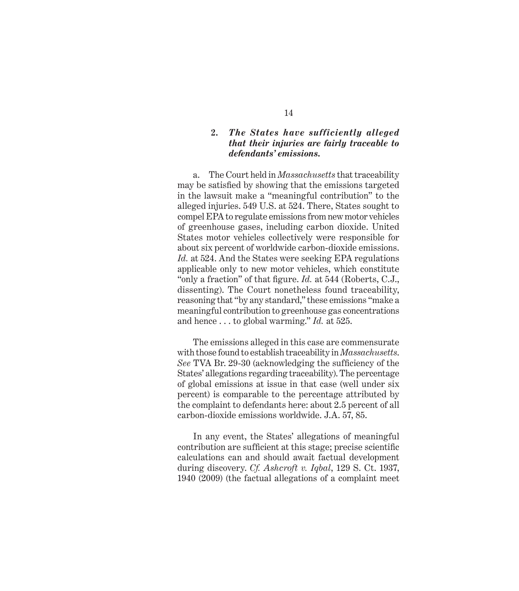#### **2.** *The States have sufficiently alleged that their injuries are fairly traceable to defendants' emissions.*

a. The Court held in *Massachusetts* that traceability may be satisfied by showing that the emissions targeted in the lawsuit make a "meaningful contribution" to the alleged injuries. 549 U.S. at 524. There, States sought to compel EPA to regulate emissions from new motor vehicles of greenhouse gases, including carbon dioxide. United States motor vehicles collectively were responsible for about six percent of worldwide carbon-dioxide emissions. *Id.* at 524. And the States were seeking EPA regulations applicable only to new motor vehicles, which constitute "only a fraction" of that figure. *Id.* at 544 (Roberts, C.J., dissenting). The Court nonetheless found traceability, reasoning that "by any standard," these emissions "make a meaningful contribution to greenhouse gas concentrations and hence . . . to global warming." *Id.* at 525.

The emissions alleged in this case are commensurate with those found to establish traceability in *Massachusetts*. *See* TVA Br. 29-30 (acknowledging the sufficiency of the States' allegations regarding traceability). The percentage of global emissions at issue in that case (well under six percent) is comparable to the percentage attributed by the complaint to defendants here: about 2.5 percent of all carbon-dioxide emissions worldwide. J.A. 57, 85.

In any event, the States' allegations of meaningful contribution are sufficient at this stage; precise scientific calculations can and should await factual development during discovery. *Cf. Ashcroft v. Iqbal*, 129 S. Ct. 1937, 1940 (2009) (the factual allegations of a complaint meet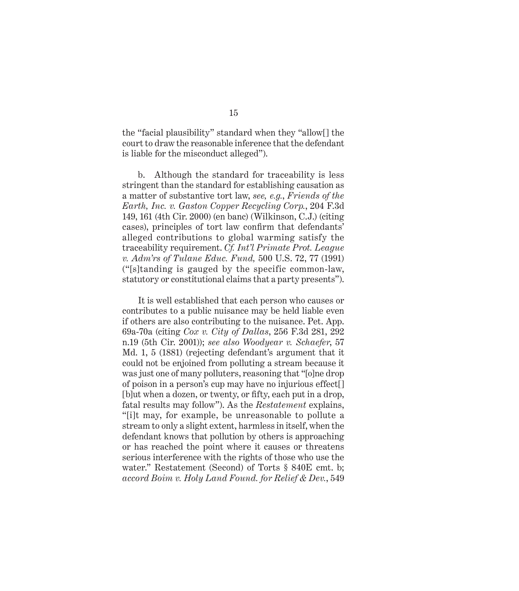the "facial plausibility" standard when they "allow[] the court to draw the reasonable inference that the defendant is liable for the misconduct alleged").

b. Although the standard for traceability is less stringent than the standard for establishing causation as a matter of substantive tort law, *see, e.g.*, *Friends of the Earth, Inc. v. Gaston Copper Recycling Corp.*, 204 F.3d 149, 161 (4th Cir. 2000) (en banc) (Wilkinson, C.J.) (citing cases), principles of tort law confirm that defendants' alleged contributions to global warming satisfy the traceability requirement. *Cf. Int'l Primate Prot. League v. Adm'rs of Tulane Educ. Fund,* 500 U.S. 72, 77 (1991) ("[s]tanding is gauged by the specific common-law, statutory or constitutional claims that a party presents").

It is well established that each person who causes or contributes to a public nuisance may be held liable even if others are also contributing to the nuisance. Pet. App. 69a-70a (citing *Cox v. City of Dallas*, 256 F.3d 281, 292 n.19 (5th Cir. 2001)); *see also Woodyear v. Schaefer*, 57 Md. 1, 5 (1881) (rejecting defendant's argument that it could not be enjoined from polluting a stream because it was just one of many polluters, reasoning that "[o]ne drop of poison in a person's cup may have no injurious effect[] [b]ut when a dozen, or twenty, or fifty, each put in a drop, fatal results may follow"). As the *Restatement* explains, "[i]t may, for example, be unreasonable to pollute a stream to only a slight extent, harmless in itself, when the defendant knows that pollution by others is approaching or has reached the point where it causes or threatens serious interference with the rights of those who use the water." Restatement (Second) of Torts § 840E cmt. b; *accord Boim v. Holy Land Found. for Relief & Dev.*, 549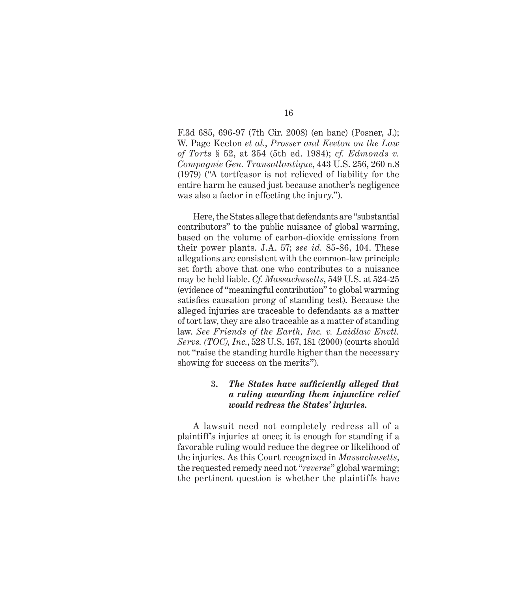F.3d 685, 696-97 (7th Cir. 2008) (en banc) (Posner, J.); W. Page Keeton *et al.*, *Prosser and Keeton on the Law of Torts* § 52, at 354 (5th ed. 1984); *cf. Edmonds v. Compagnie Gen. Transatlantique*, 443 U.S. 256, 260 n.8 (1979) ("A tortfeasor is not relieved of liability for the entire harm he caused just because another's negligence was also a factor in effecting the injury.").

Here, the States allege that defendants are "substantial contributors" to the public nuisance of global warming, based on the volume of carbon-dioxide emissions from their power plants. J.A. 57; *see id.* 85-86, 104. These allegations are consistent with the common-law principle set forth above that one who contributes to a nuisance may be held liable. *Cf. Massachusetts*, 549 U.S. at 524-25 (evidence of "meaningful contribution" to global warming satisfies causation prong of standing test). Because the alleged injuries are traceable to defendants as a matter of tort law, they are also traceable as a matter of standing law. *See Friends of the Earth, Inc. v. Laidlaw Envtl. Servs. (TOC), Inc.*, 528 U.S. 167, 181 (2000) (courts should not "raise the standing hurdle higher than the necessary showing for success on the merits").

#### **3.** The States have sufficiently alleged that *a ruling awarding them injunctive relief would redress the States' injuries.*

A lawsuit need not completely redress all of a plaintiff's injuries at once; it is enough for standing if a favorable ruling would reduce the degree or likelihood of the injuries. As this Court recognized in *Massachusetts*, the requested remedy need not "*reverse*" global warming; the pertinent question is whether the plaintiffs have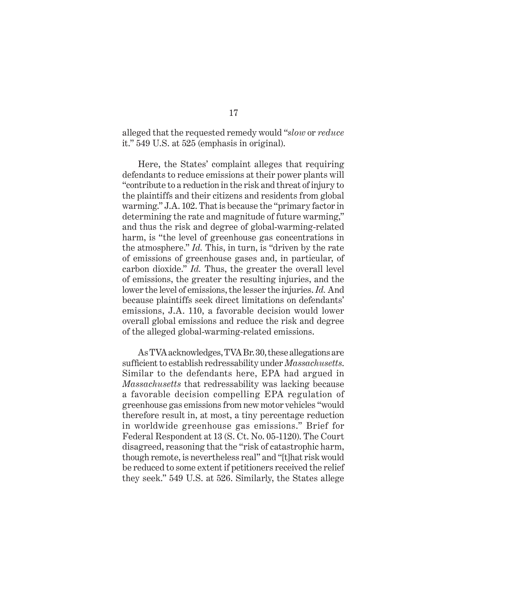alleged that the requested remedy would "*slow* or *reduce* it." 549 U.S. at 525 (emphasis in original).

Here, the States' complaint alleges that requiring defendants to reduce emissions at their power plants will "contribute to a reduction in the risk and threat of injury to the plaintiffs and their citizens and residents from global warming." J.A. 102. That is because the "primary factor in determining the rate and magnitude of future warming," and thus the risk and degree of global-warming-related harm, is "the level of greenhouse gas concentrations in the atmosphere." *Id.* This, in turn, is "driven by the rate of emissions of greenhouse gases and, in particular, of carbon dioxide." *Id.* Thus, the greater the overall level of emissions, the greater the resulting injuries, and the lower the level of emissions, the lesser the injuries. *Id.* And because plaintiffs seek direct limitations on defendants' emissions, J.A. 110, a favorable decision would lower overall global emissions and reduce the risk and degree of the alleged global-warming-related emissions.

As TVA acknowledges, TVA Br. 30, these allegations are sufficient to establish redressability under *Massachusetts*. Similar to the defendants here, EPA had argued in *Massachusetts* that redressability was lacking because a favorable decision compelling EPA regulation of greenhouse gas emissions from new motor vehicles "would therefore result in, at most, a tiny percentage reduction in worldwide greenhouse gas emissions." Brief for Federal Respondent at 13 (S. Ct. No. 05-1120). The Court disagreed, reasoning that the "risk of catastrophic harm, though remote, is nevertheless real" and "[t]hat risk would be reduced to some extent if petitioners received the relief they seek." 549 U.S. at 526. Similarly, the States allege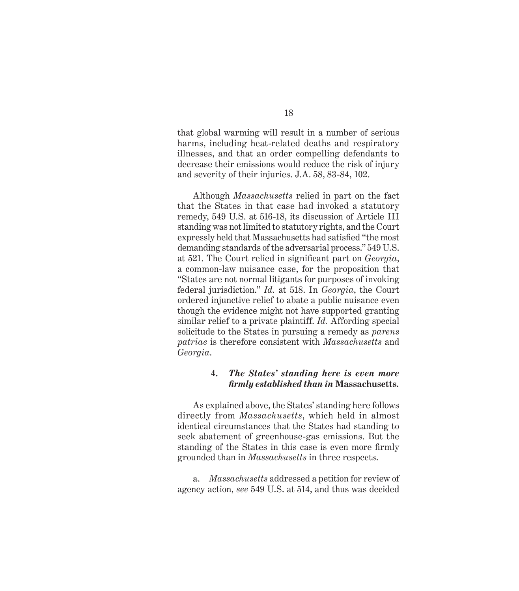that global warming will result in a number of serious harms, including heat-related deaths and respiratory illnesses, and that an order compelling defendants to decrease their emissions would reduce the risk of injury and severity of their injuries. J.A. 58, 83-84, 102.

Although *Massachusetts* relied in part on the fact that the States in that case had invoked a statutory remedy, 549 U.S. at 516-18, its discussion of Article III standing was not limited to statutory rights, and the Court expressly held that Massachusetts had satisfied "the most demanding standards of the adversarial process." 549 U.S. at 521. The Court relied in significant part on *Georgia*, a common-law nuisance case, for the proposition that "States are not normal litigants for purposes of invoking federal jurisdiction." *Id.* at 518. In *Georgia*, the Court ordered injunctive relief to abate a public nuisance even though the evidence might not have supported granting similar relief to a private plaintiff. *Id.* Affording special solicitude to the States in pursuing a remedy as *parens patriae* is therefore consistent with *Massachusetts* and *Georgia*.

#### **4.** *The States' standing here is even more fi rmly established than in* **Massachusetts***.*

As explained above, the States' standing here follows directly from *Massachusetts*, which held in almost identical circumstances that the States had standing to seek abatement of greenhouse-gas emissions. But the standing of the States in this case is even more firmly grounded than in *Massachusetts* in three respects.

a. *Massachusetts* addressed a petition for review of agency action, *see* 549 U.S. at 514, and thus was decided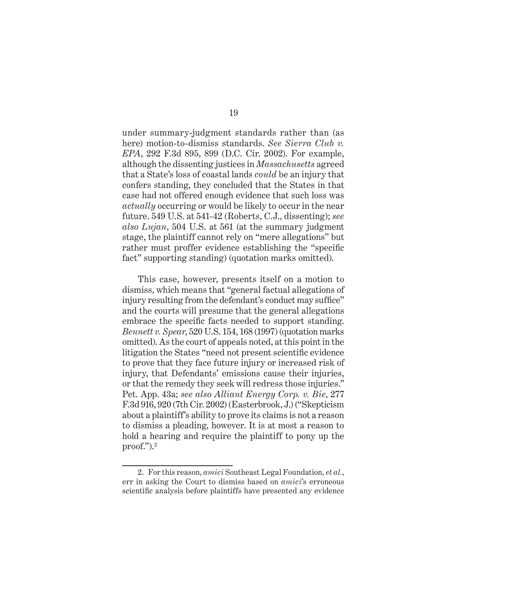under summary-judgment standards rather than (as here) motion-to-dismiss standards. *See Sierra Club v. EPA*, 292 F.3d 895, 899 (D.C. Cir. 2002). For example, although the dissenting justices in *Massachusetts* agreed that a State's loss of coastal lands *could* be an injury that confers standing, they concluded that the States in that case had not offered enough evidence that such loss was *actually* occurring or would be likely to occur in the near future. 549 U.S. at 541-42 (Roberts, C.J., dissenting); *see also Lujan*, 504 U.S. at 561 (at the summary judgment stage, the plaintiff cannot rely on "mere allegations" but rather must proffer evidence establishing the "specific fact" supporting standing) (quotation marks omitted).

This case, however, presents itself on a motion to dismiss, which means that "general factual allegations of injury resulting from the defendant's conduct may suffice" and the courts will presume that the general allegations embrace the specific facts needed to support standing. *Bennett v. Spear*, 520 U.S. 154, 168 (1997) (quotation marks omitted). As the court of appeals noted, at this point in the litigation the States "need not present scientific evidence to prove that they face future injury or increased risk of injury, that Defendants' emissions cause their injuries, or that the remedy they seek will redress those injuries." Pet. App. 43a; *see also Alliant Energy Corp. v. Bie*, 277 F.3d 916, 920 (7th Cir. 2002) (Easterbrook, J.) ("Skepticism about a plaintiff's ability to prove its claims is not a reason to dismiss a pleading, however. It is at most a reason to hold a hearing and require the plaintiff to pony up the  $proof.'')<sub>1</sub><sup>2</sup>$ 

<sup>2.</sup> For this reason, *amici* Southeast Legal Foundation, *et al.*, err in asking the Court to dismiss based on *amici*'s erroneous scientific analysis before plaintiffs have presented any evidence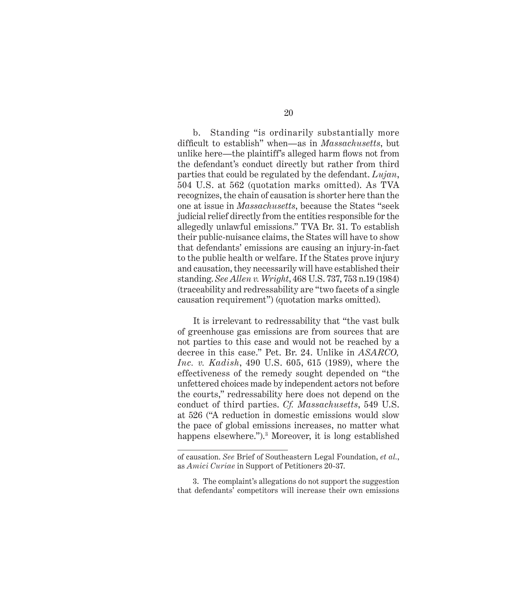b. Standing "is ordinarily substantially more difficult to establish" when—as in *Massachusetts*, but unlike here—the plaintiff's alleged harm flows not from the defendant's conduct directly but rather from third parties that could be regulated by the defendant. *Lujan*, 504 U.S. at 562 (quotation marks omitted). As TVA recognizes, the chain of causation is shorter here than the one at issue in *Massachusetts*, because the States "seek judicial relief directly from the entities responsible for the allegedly unlawful emissions." TVA Br. 31. To establish their public-nuisance claims, the States will have to show that defendants' emissions are causing an injury-in-fact to the public health or welfare. If the States prove injury and causation, they necessarily will have established their standing. *See Allen v. Wright*, 468 U.S. 737, 753 n.19 (1984) (traceability and redressability are "two facets of a single causation requirement") (quotation marks omitted).

It is irrelevant to redressability that "the vast bulk of greenhouse gas emissions are from sources that are not parties to this case and would not be reached by a decree in this case." Pet. Br. 24. Unlike in *ASARCO, Inc. v. Kadish*, 490 U.S. 605, 615 (1989), where the effectiveness of the remedy sought depended on "the unfettered choices made by independent actors not before the courts," redressability here does not depend on the conduct of third parties. *Cf. Massachusetts*, 549 U.S. at 526 ("A reduction in domestic emissions would slow the pace of global emissions increases, no matter what happens elsewhere.").3 Moreover, it is long established

of causation. *See* Brief of Southeastern Legal Foundation, *et al.*, as *Amici Curiae* in Support of Petitioners 20-37.

<sup>3.</sup> The complaint's allegations do not support the suggestion that defendants' competitors will increase their own emissions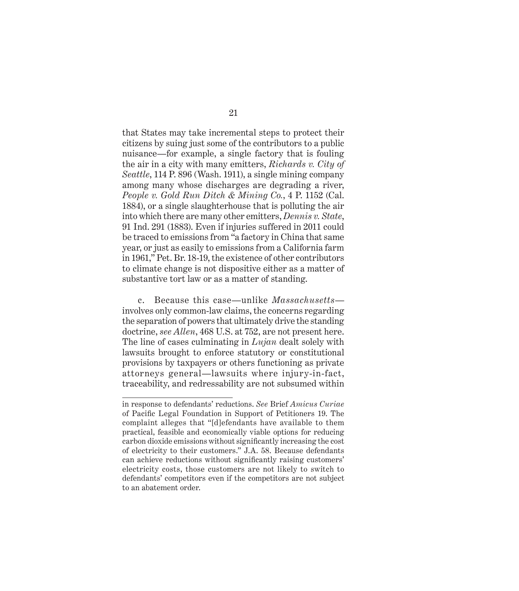that States may take incremental steps to protect their citizens by suing just some of the contributors to a public nuisance—for example, a single factory that is fouling the air in a city with many emitters, *Richards v. City of Seattle*, 114 P. 896 (Wash. 1911), a single mining company among many whose discharges are degrading a river, *People v. Gold Run Ditch & Mining Co.*, 4 P. 1152 (Cal. 1884), or a single slaughterhouse that is polluting the air into which there are many other emitters, *Dennis v. State*, 91 Ind. 291 (1883). Even if injuries suffered in 2011 could be traced to emissions from "a factory in China that same year, or just as easily to emissions from a California farm in 1961," Pet. Br. 18-19, the existence of other contributors to climate change is not dispositive either as a matter of substantive tort law or as a matter of standing.

c. Because this case—unlike *Massachusetts* involves only common-law claims, the concerns regarding the separation of powers that ultimately drive the standing doctrine, *see Allen*, 468 U.S. at 752, are not present here. The line of cases culminating in *Lujan* dealt solely with lawsuits brought to enforce statutory or constitutional provisions by taxpayers or others functioning as private attorneys general—lawsuits where injury-in-fact, traceability, and redressability are not subsumed within

in response to defendants' reductions. *See* Brief *Amicus Curiae* of Pacific Legal Foundation in Support of Petitioners 19. The complaint alleges that "[d]efendants have available to them practical, feasible and economically viable options for reducing carbon dioxide emissions without significantly increasing the cost of electricity to their customers." J.A. 58. Because defendants can achieve reductions without significantly raising customers' electricity costs, those customers are not likely to switch to defendants' competitors even if the competitors are not subject to an abatement order.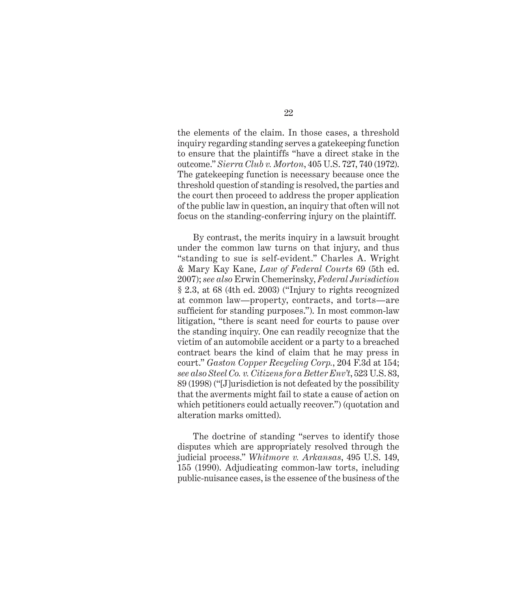the elements of the claim. In those cases, a threshold inquiry regarding standing serves a gatekeeping function to ensure that the plaintiffs "have a direct stake in the outcome." *Sierra Club v. Morton*, 405 U.S. 727, 740 (1972). The gatekeeping function is necessary because once the threshold question of standing is resolved, the parties and the court then proceed to address the proper application of the public law in question, an inquiry that often will not focus on the standing-conferring injury on the plaintiff.

By contrast, the merits inquiry in a lawsuit brought under the common law turns on that injury, and thus "standing to sue is self-evident." Charles A. Wright & Mary Kay Kane, *Law of Federal Courts* 69 (5th ed. 2007); *see also* Erwin Chemerinsky, *Federal Jurisdiction* § 2.3, at 68 (4th ed. 2003) ("Injury to rights recognized at common law—property, contracts, and torts—are sufficient for standing purposes."). In most common-law litigation, "there is scant need for courts to pause over the standing inquiry. One can readily recognize that the victim of an automobile accident or a party to a breached contract bears the kind of claim that he may press in court." *Gaston Copper Recycling Corp.*, 204 F.3d at 154; *see also Steel Co. v. Citizens for a Better Env't*, 523 U.S. 83, 89 (1998) ("[J]urisdiction is not defeated by the possibility that the averments might fail to state a cause of action on which petitioners could actually recover.") (quotation and alteration marks omitted).

The doctrine of standing "serves to identify those disputes which are appropriately resolved through the judicial process." *Whitmore v. Arkansas*, 495 U.S. 149, 155 (1990). Adjudicating common-law torts, including public-nuisance cases, is the essence of the business of the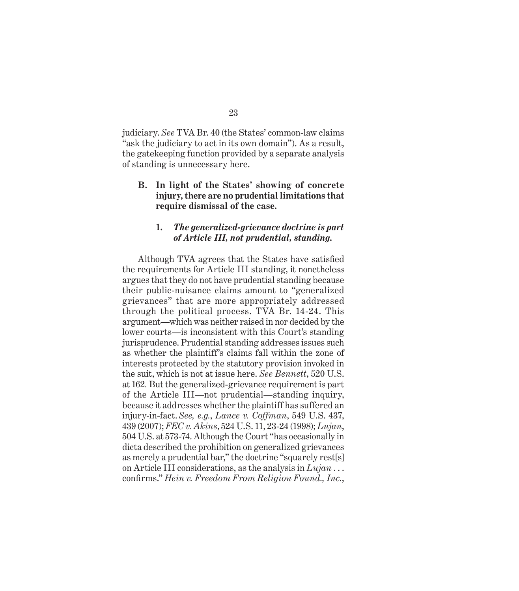judiciary. *See* TVA Br. 40 (the States' common-law claims "ask the judiciary to act in its own domain"). As a result, the gatekeeping function provided by a separate analysis of standing is unnecessary here.

**B. In light of the States' showing of concrete injury, there are no prudential limitations that require dismissal of the case.**

#### **1.** *The generalized-grievance doctrine is part of Article III, not prudential, standing.*

Although TVA agrees that the States have satisfied the requirements for Article III standing, it nonetheless argues that they do not have prudential standing because their public-nuisance claims amount to "generalized grievances" that are more appropriately addressed through the political process. TVA Br. 14-24. This argument—which was neither raised in nor decided by the lower courts—is inconsistent with this Court's standing jurisprudence. Prudential standing addresses issues such as whether the plaintiff's claims fall within the zone of interests protected by the statutory provision invoked in the suit, which is not at issue here. *See Bennett*, 520 U.S. at 162*.* But the generalized-grievance requirement is part of the Article III—not prudential—standing inquiry, because it addresses whether the plaintiff has suffered an injury-in-fact. *See, e.g.*, *Lance v. Coffman*, 549 U.S. 437, 439 (2007); *FEC v. Akins*, 524 U.S. 11, 23-24 (1998); *Lujan*, 504 U.S. at 573-74. Although the Court "has occasionally in dicta described the prohibition on generalized grievances as merely a prudential bar," the doctrine "squarely rest[s] on Article III considerations, as the analysis in *Lujan* . . . confirms." *Hein v. Freedom From Religion Found., Inc.*,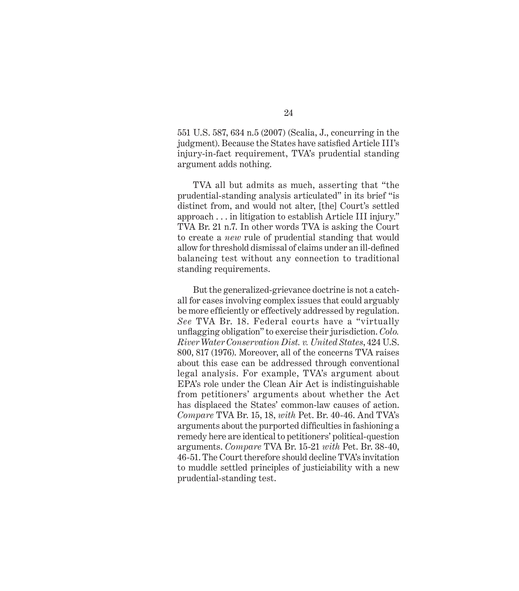551 U.S. 587, 634 n.5 (2007) (Scalia, J., concurring in the judgment). Because the States have satisfied Article III's injury-in-fact requirement, TVA's prudential standing argument adds nothing.

TVA all but admits as much, asserting that "the prudential-standing analysis articulated" in its brief "is distinct from, and would not alter, [the] Court's settled approach . . . in litigation to establish Article III injury." TVA Br. 21 n.7. In other words TVA is asking the Court to create a *new* rule of prudential standing that would allow for threshold dismissal of claims under an ill-defined balancing test without any connection to traditional standing requirements.

But the generalized-grievance doctrine is not a catchall for cases involving complex issues that could arguably be more efficiently or effectively addressed by regulation. *See* TVA Br. 18. Federal courts have a "virtually unfl agging obligation" to exercise their jurisdiction. *Colo. River Water Conservation Dist. v. United States*, 424 U.S. 800, 817 (1976). Moreover, all of the concerns TVA raises about this case can be addressed through conventional legal analysis. For example, TVA's argument about EPA's role under the Clean Air Act is indistinguishable from petitioners' arguments about whether the Act has displaced the States' common-law causes of action. *Compare* TVA Br. 15, 18, *with* Pet. Br. 40-46. And TVA's arguments about the purported difficulties in fashioning a remedy here are identical to petitioners' political-question arguments. *Compare* TVA Br. 15-21 *with* Pet. Br. 38-40, 46-51. The Court therefore should decline TVA's invitation to muddle settled principles of justiciability with a new prudential-standing test.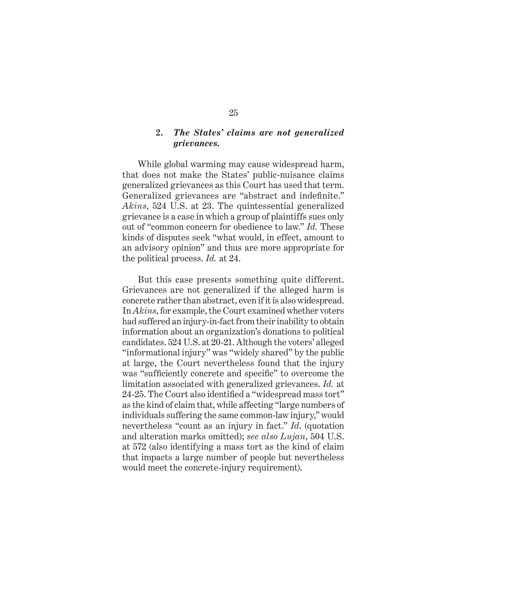#### **2.** *The States' claims are not generalized grievances.*

While global warming may cause widespread harm, that does not make the States' public-nuisance claims generalized grievances as this Court has used that term. Generalized grievances are "abstract and indefinite." *Akins*, 524 U.S. at 23. The quintessential generalized grievance is a case in which a group of plaintiffs sues only out of "common concern for obedience to law." *Id.* These kinds of disputes seek "what would, in effect, amount to an advisory opinion" and thus are more appropriate for the political process. *Id.* at 24.

But this case presents something quite different. Grievances are not generalized if the alleged harm is concrete rather than abstract, even if it is also widespread. In *Akins*, for example, the Court examined whether voters had suffered an injury-in-fact from their inability to obtain information about an organization's donations to political candidates. 524 U.S. at 20-21. Although the voters' alleged "informational injury" was "widely shared" by the public at large, the Court nevertheless found that the injury was "sufficiently concrete and specific" to overcome the limitation associated with generalized grievances. *Id.* at 24-25. The Court also identified a "widespread mass tort" as the kind of claim that, while affecting "large numbers of individuals suffering the same common-law injury," would nevertheless "count as an injury in fact." *Id*. (quotation and alteration marks omitted); *see also Lujan*, 504 U.S. at 572 (also identifying a mass tort as the kind of claim that impacts a large number of people but nevertheless would meet the concrete-injury requirement).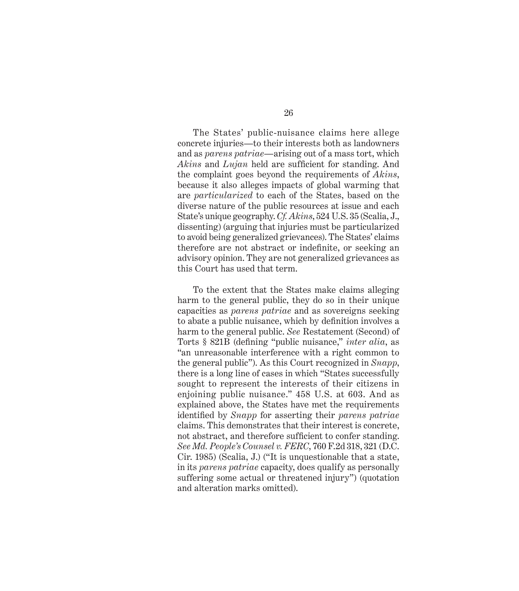The States' public-nuisance claims here allege concrete injuries—to their interests both as landowners and as *parens patriae—*arising out of a mass tort, which *Akins* and *Lujan* held are sufficient for standing. And the complaint goes beyond the requirements of *Akins*, because it also alleges impacts of global warming that are *particularized* to each of the States, based on the diverse nature of the public resources at issue and each State's unique geography. *Cf. Akins*, 524 U.S. 35 (Scalia, J., dissenting) (arguing that injuries must be particularized to avoid being generalized grievances). The States' claims therefore are not abstract or indefinite, or seeking an advisory opinion. They are not generalized grievances as this Court has used that term.

To the extent that the States make claims alleging harm to the general public, they do so in their unique capacities as *parens patriae* and as sovereigns seeking to abate a public nuisance, which by definition involves a harm to the general public. *See* Restatement (Second) of Torts § 821B (defining "public nuisance," *inter alia*, as "an unreasonable interference with a right common to the general public"). As this Court recognized in *Snapp*, there is a long line of cases in which "States successfully sought to represent the interests of their citizens in enjoining public nuisance." 458 U.S. at 603. And as explained above, the States have met the requirements identified by *Snapp* for asserting their *parens patriae* claims. This demonstrates that their interest is concrete, not abstract, and therefore sufficient to confer standing. *See Md. People's Counsel v. FERC*, 760 F.2d 318, 321 (D.C. Cir. 1985) (Scalia, J.) ("It is unquestionable that a state, in its *parens patriae* capacity, does qualify as personally suffering some actual or threatened injury") (quotation and alteration marks omitted).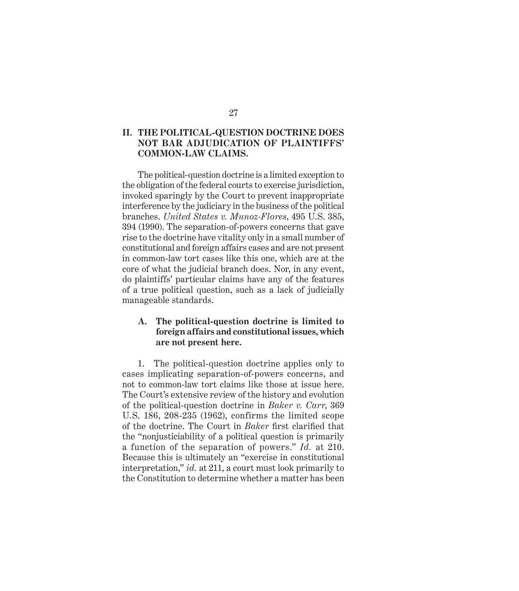# 27

#### **II. THE POLITICAL-QUESTION DOCTRINE DOES NOT BAR ADJUDICATION OF PLAINTIFFS' COMMON-LAW CLAIMS.**

The political-question doctrine is a limited exception to the obligation of the federal courts to exercise jurisdiction, invoked sparingly by the Court to prevent inappropriate interference by the judiciary in the business of the political branches. *United States v. Munoz-Flores*, 495 U.S. 385, 394 (1990). The separation-of-powers concerns that gave rise to the doctrine have vitality only in a small number of constitutional and foreign affairs cases and are not present in common-law tort cases like this one, which are at the core of what the judicial branch does. Nor, in any event, do plaintiffs' particular claims have any of the features of a true political question, such as a lack of judicially manageable standards.

#### **A. The political-question doctrine is limited to foreign affairs and constitutional issues, which are not present here.**

1. The political-question doctrine applies only to cases implicating separation-of-powers concerns, and not to common-law tort claims like those at issue here. The Court's extensive review of the history and evolution of the political-question doctrine in *Baker v. Carr*, 369 U.S. 186, 208-235 (1962), confirms the limited scope of the doctrine. The Court in *Baker* first clarified that the "nonjusticiability of a political question is primarily a function of the separation of powers." *Id.* at 210. Because this is ultimately an "exercise in constitutional interpretation," *id.* at 211, a court must look primarily to the Constitution to determine whether a matter has been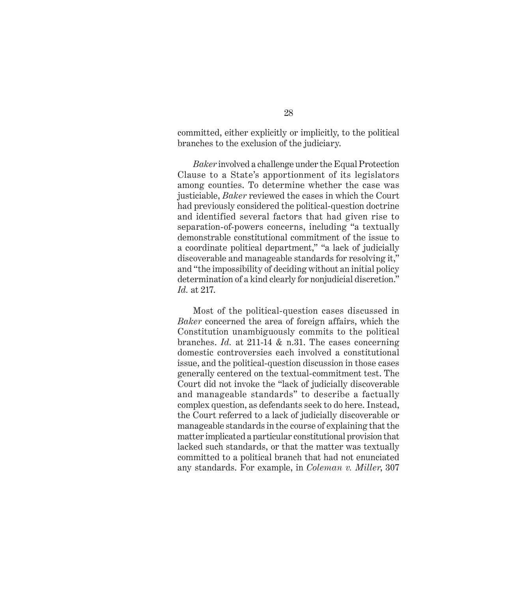committed, either explicitly or implicitly, to the political branches to the exclusion of the judiciary.

*Baker* involved a challenge under the Equal Protection Clause to a State's apportionment of its legislators among counties. To determine whether the case was justiciable, *Baker* reviewed the cases in which the Court had previously considered the political-question doctrine and identified several factors that had given rise to separation-of-powers concerns, including "a textually demonstrable constitutional commitment of the issue to a coordinate political department," "a lack of judicially discoverable and manageable standards for resolving it," and "the impossibility of deciding without an initial policy determination of a kind clearly for nonjudicial discretion." *Id.* at 217.

Most of the political-question cases discussed in *Baker* concerned the area of foreign affairs, which the Constitution unambiguously commits to the political branches. *Id.* at 211-14 & n.31. The cases concerning domestic controversies each involved a constitutional issue, and the political-question discussion in those cases generally centered on the textual-commitment test. The Court did not invoke the "lack of judicially discoverable and manageable standards" to describe a factually complex question, as defendants seek to do here. Instead, the Court referred to a lack of judicially discoverable or manageable standards in the course of explaining that the matter implicated a particular constitutional provision that lacked such standards, or that the matter was textually committed to a political branch that had not enunciated any standards. For example, in *Coleman v. Miller*, 307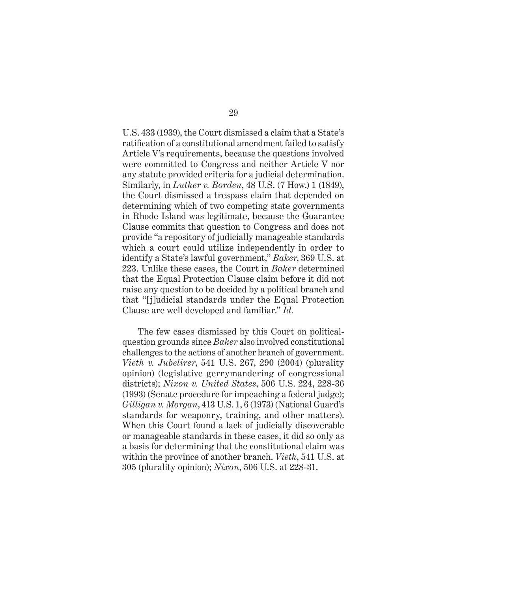U.S. 433 (1939), the Court dismissed a claim that a State's ratification of a constitutional amendment failed to satisfy Article V's requirements, because the questions involved were committed to Congress and neither Article V nor any statute provided criteria for a judicial determination. Similarly, in *Luther v. Borden*, 48 U.S. (7 How.) 1 (1849), the Court dismissed a trespass claim that depended on determining which of two competing state governments in Rhode Island was legitimate, because the Guarantee Clause commits that question to Congress and does not provide "a repository of judicially manageable standards which a court could utilize independently in order to identify a State's lawful government," *Baker*, 369 U.S. at 223. Unlike these cases, the Court in *Baker* determined that the Equal Protection Clause claim before it did not raise any question to be decided by a political branch and that "[j]udicial standards under the Equal Protection Clause are well developed and familiar." *Id.*

The few cases dismissed by this Court on politicalquestion grounds since *Baker* also involved constitutional challenges to the actions of another branch of government. *Vieth v. Jubelirer*, 541 U.S. 267, 290 (2004) (plurality opinion) (legislative gerrymandering of congressional districts); *Nixon v. United States*, 506 U.S. 224, 228-36 (1993) (Senate procedure for impeaching a federal judge); *Gilligan v. Morgan*, 413 U.S. 1, 6 (1973) (National Guard's standards for weaponry, training, and other matters). When this Court found a lack of judicially discoverable or manageable standards in these cases, it did so only as a basis for determining that the constitutional claim was within the province of another branch. *Vieth*, 541 U.S. at 305 (plurality opinion); *Nixon*, 506 U.S. at 228-31.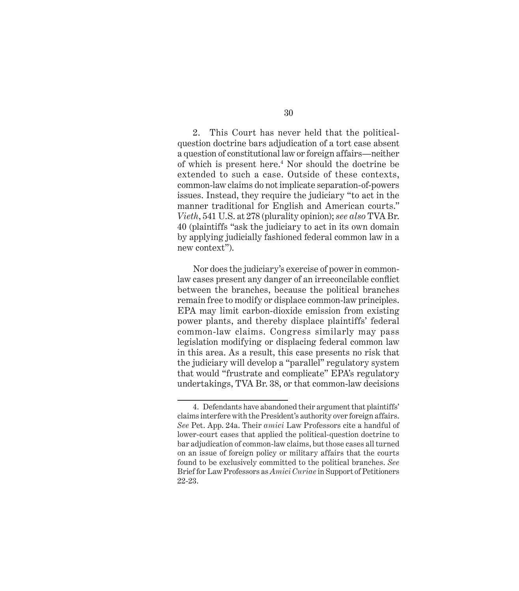2. This Court has never held that the politicalquestion doctrine bars adjudication of a tort case absent a question of constitutional law or foreign affairs—neither of which is present here.4 Nor should the doctrine be extended to such a case. Outside of these contexts, common-law claims do not implicate separation-of-powers issues. Instead, they require the judiciary "to act in the manner traditional for English and American courts." *Vieth*, 541 U.S. at 278 (plurality opinion); *see also* TVA Br. 40 (plaintiffs "ask the judiciary to act in its own domain by applying judicially fashioned federal common law in a new context").

Nor does the judiciary's exercise of power in commonlaw cases present any danger of an irreconcilable conflict between the branches, because the political branches remain free to modify or displace common-law principles. EPA may limit carbon-dioxide emission from existing power plants, and thereby displace plaintiffs' federal common-law claims. Congress similarly may pass legislation modifying or displacing federal common law in this area. As a result, this case presents no risk that the judiciary will develop a "parallel" regulatory system that would "frustrate and complicate" EPA's regulatory undertakings, TVA Br. 38, or that common-law decisions

<sup>4.</sup> Defendants have abandoned their argument that plaintiffs' claims interfere with the President's authority over foreign affairs. *See* Pet. App. 24a. Their *amici* Law Professors cite a handful of lower-court cases that applied the political-question doctrine to bar adjudication of common-law claims, but those cases all turned on an issue of foreign policy or military affairs that the courts found to be exclusively committed to the political branches. *See*  Brief for Law Professors as *Amici Curiae* in Support of Petitioners 22-23.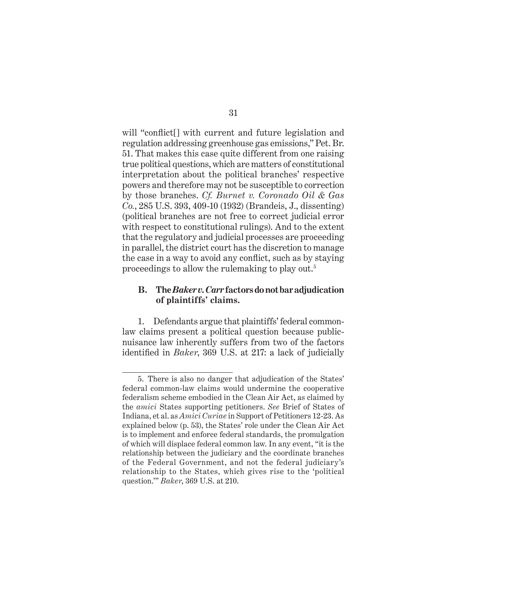will "conflict<sup>[]</sup> with current and future legislation and regulation addressing greenhouse gas emissions," Pet. Br. 51. That makes this case quite different from one raising true political questions, which are matters of constitutional interpretation about the political branches' respective powers and therefore may not be susceptible to correction by those branches. *Cf. Burnet v. Coronado Oil & Gas Co.*, 285 U.S. 393, 409-10 (1932) (Brandeis, J., dissenting) (political branches are not free to correct judicial error with respect to constitutional rulings). And to the extent that the regulatory and judicial processes are proceeding in parallel, the district court has the discretion to manage the case in a way to avoid any conflict, such as by staying proceedings to allow the rulemaking to play out.5

#### **B. The** *Baker v. Carr* **factors do not bar adjudication of plaintiffs' claims.**

1. Defendants argue that plaintiffs' federal commonlaw claims present a political question because publicnuisance law inherently suffers from two of the factors identified in *Baker*, 369 U.S. at 217: a lack of judicially

<sup>5.</sup> There is also no danger that adjudication of the States' federal common-law claims would undermine the cooperative federalism scheme embodied in the Clean Air Act, as claimed by the *amici* States supporting petitioners. *See* Brief of States of Indiana, et al. as *Amici Curiae* in Support of Petitioners 12-23. As explained below (p. 53), the States' role under the Clean Air Act is to implement and enforce federal standards, the promulgation of which will displace federal common law. In any event, "it is the relationship between the judiciary and the coordinate branches of the Federal Government, and not the federal judiciary's relationship to the States, which gives rise to the 'political question.'" *Baker*, 369 U.S. at 210.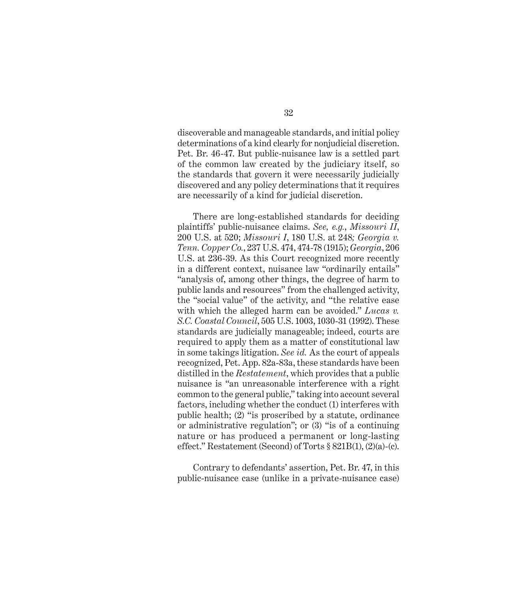discoverable and manageable standards, and initial policy determinations of a kind clearly for nonjudicial discretion. Pet. Br. 46-47. But public-nuisance law is a settled part of the common law created by the judiciary itself, so the standards that govern it were necessarily judicially discovered and any policy determinations that it requires are necessarily of a kind for judicial discretion.

There are long-established standards for deciding plaintiffs' public-nuisance claims. *See, e.g.*, *Missouri II*, 200 U.S. at 520; *Missouri I*, 180 U.S. at 248*; Georgia v. Tenn. Copper Co.*, 237 U.S. 474, 474-78 (1915); *Georgia*, 206 U.S. at 236-39. As this Court recognized more recently in a different context, nuisance law "ordinarily entails" "analysis of, among other things, the degree of harm to public lands and resources" from the challenged activity, the "social value" of the activity, and "the relative ease with which the alleged harm can be avoided." *Lucas v. S.C. Coastal Council*, 505 U.S. 1003, 1030-31 (1992). These standards are judicially manageable; indeed, courts are required to apply them as a matter of constitutional law in some takings litigation. *See id.* As the court of appeals recognized, Pet. App. 82a-83a, these standards have been distilled in the *Restatement*, which provides that a public nuisance is "an unreasonable interference with a right common to the general public," taking into account several factors, including whether the conduct (1) interferes with public health; (2) "is proscribed by a statute, ordinance or administrative regulation"; or (3) "is of a continuing nature or has produced a permanent or long-lasting effect." Restatement (Second) of Torts § 821B(1), (2)(a)-(c).

Contrary to defendants' assertion, Pet. Br. 47, in this public-nuisance case (unlike in a private-nuisance case)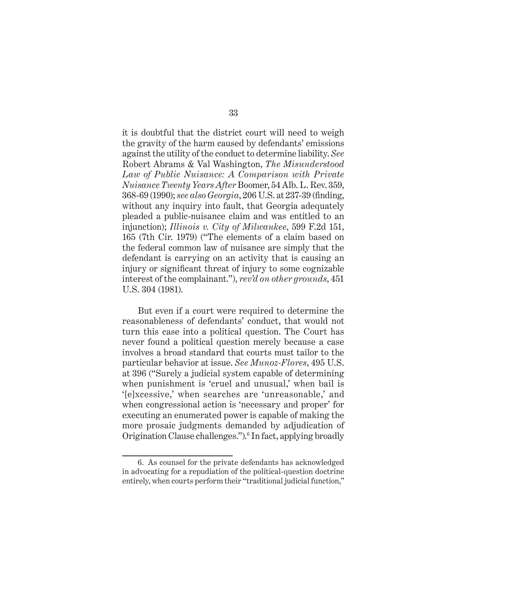it is doubtful that the district court will need to weigh the gravity of the harm caused by defendants' emissions against the utility of the conduct to determine liability. *See*  Robert Abrams & Val Washington, *The Misunderstood Law of Public Nuisance: A Comparison with Private Nuisance Twenty Years After* Boomer, 54 Alb. L. Rev. 359, 368-69 (1990); *see also Georgia*, 206 U.S. at 237-39 (finding, without any inquiry into fault, that Georgia adequately pleaded a public-nuisance claim and was entitled to an injunction); *Illinois v. City of Milwaukee*, 599 F.2d 151, 165 (7th Cir. 1979) ("The elements of a claim based on the federal common law of nuisance are simply that the defendant is carrying on an activity that is causing an injury or significant threat of injury to some cognizable interest of the complainant."), *rev'd on other grounds*, 451 U.S. 304 (1981).

But even if a court were required to determine the reasonableness of defendants' conduct, that would not turn this case into a political question. The Court has never found a political question merely because a case involves a broad standard that courts must tailor to the particular behavior at issue. *See Munoz-Flores*, 495 U.S. at 396 ("Surely a judicial system capable of determining when punishment is 'cruel and unusual,' when bail is '[e]xcessive,' when searches are 'unreasonable,' and when congressional action is 'necessary and proper' for executing an enumerated power is capable of making the more prosaic judgments demanded by adjudication of Origination Clause challenges.").<sup>6</sup> In fact, applying broadly

<sup>6.</sup> As counsel for the private defendants has acknowledged in advocating for a repudiation of the political-question doctrine entirely, when courts perform their "traditional judicial function,"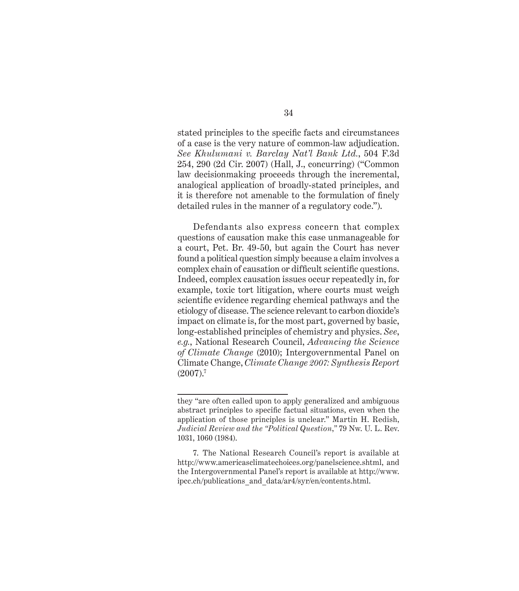stated principles to the specific facts and circumstances of a case is the very nature of common-law adjudication. *See Khulumani v. Barclay Nat'l Bank Ltd.*, 504 F.3d 254, 290 (2d Cir. 2007) (Hall, J., concurring) ("Common law decisionmaking proceeds through the incremental, analogical application of broadly-stated principles, and it is therefore not amenable to the formulation of finely detailed rules in the manner of a regulatory code.").

Defendants also express concern that complex questions of causation make this case unmanageable for a court, Pet. Br. 49-50, but again the Court has never found a political question simply because a claim involves a complex chain of causation or difficult scientific questions. Indeed, complex causation issues occur repeatedly in, for example, toxic tort litigation, where courts must weigh scientific evidence regarding chemical pathways and the etiology of disease. The science relevant to carbon dioxide's impact on climate is, for the most part, governed by basic, long-established principles of chemistry and physics. *See*, *e.g.*, National Research Council, *Advancing the Science of Climate Change* (2010); Intergovernmental Panel on Climate Change, *Climate Change 2007: Synthesis Report*  $(2007).7$ 

they "are often called upon to apply generalized and ambiguous abstract principles to specific factual situations, even when the application of those principles is unclear." Martin H. Redish, *Judicial Review and the "Political Question*,*"* 79 Nw. U. L. Rev. 1031, 1060 (1984).

<sup>7.</sup> The National Research Council's report is available at http://www.americasclimatechoices.org/panelscience.shtml, and the Intergovernmental Panel's report is available at http://www. ipcc.ch/publications\_and\_data/ar4/syr/en/contents.html.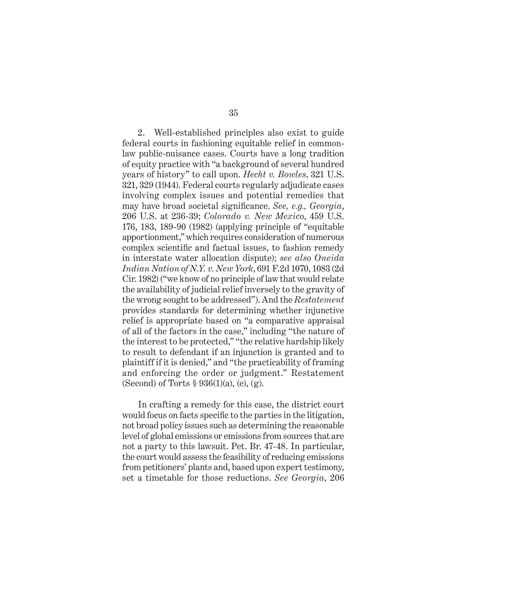2. Well-established principles also exist to guide federal courts in fashioning equitable relief in commonlaw public-nuisance cases. Courts have a long tradition of equity practice with "a background of several hundred years of history" to call upon. *Hecht v. Bowles*, 321 U.S. 321, 329 (1944). Federal courts regularly adjudicate cases involving complex issues and potential remedies that may have broad societal significance. *See, e.g., Georgia*, 206 U.S. at 236-39; *Colorado v. New Mexico*, 459 U.S. 176, 183, 189-90 (1982) (applying principle of "equitable apportionment," which requires consideration of numerous complex scientific and factual issues, to fashion remedy in interstate water allocation dispute); *see also Oneida Indian Nation of N.Y. v. New York*, 691 F.2d 1070, 1083 (2d Cir. 1982) ("we know of no principle of law that would relate the availability of judicial relief inversely to the gravity of the wrong sought to be addressed"). And the *Restatement* provides standards for determining whether injunctive relief is appropriate based on "a comparative appraisal of all of the factors in the case," including "the nature of the interest to be protected," "the relative hardship likely to result to defendant if an injunction is granted and to plaintiff if it is denied," and "the practicability of framing and enforcing the order or judgment." Restatement (Second) of Torts  $\S 936(1)(a)$ , (e), (g).

In crafting a remedy for this case, the district court would focus on facts specific to the parties in the litigation, not broad policy issues such as determining the reasonable level of global emissions or emissions from sources that are not a party to this lawsuit. Pet. Br. 47-48. In particular, the court would assess the feasibility of reducing emissions from petitioners' plants and, based upon expert testimony, set a timetable for those reductions. *See Georgia*, 206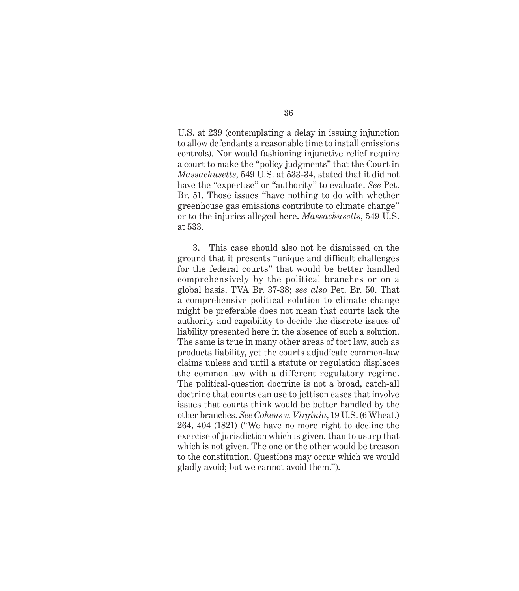U.S. at 239 (contemplating a delay in issuing injunction to allow defendants a reasonable time to install emissions controls). Nor would fashioning injunctive relief require a court to make the "policy judgments" that the Court in *Massachusetts*, 549 U.S. at 533-34, stated that it did not have the "expertise" or "authority" to evaluate. *See* Pet. Br. 51. Those issues "have nothing to do with whether greenhouse gas emissions contribute to climate change" or to the injuries alleged here. *Massachusetts*, 549 U.S. at 533.

3. This case should also not be dismissed on the ground that it presents "unique and difficult challenges for the federal courts" that would be better handled comprehensively by the political branches or on a global basis. TVA Br. 37-38; *see also* Pet. Br. 50. That a comprehensive political solution to climate change might be preferable does not mean that courts lack the authority and capability to decide the discrete issues of liability presented here in the absence of such a solution. The same is true in many other areas of tort law, such as products liability, yet the courts adjudicate common-law claims unless and until a statute or regulation displaces the common law with a different regulatory regime. The political-question doctrine is not a broad, catch-all doctrine that courts can use to jettison cases that involve issues that courts think would be better handled by the other branches. *See Cohens v. Virginia*, 19 U.S. (6 Wheat.) 264, 404 (1821) ("We have no more right to decline the exercise of jurisdiction which is given, than to usurp that which is not given. The one or the other would be treason to the constitution. Questions may occur which we would gladly avoid; but we cannot avoid them.").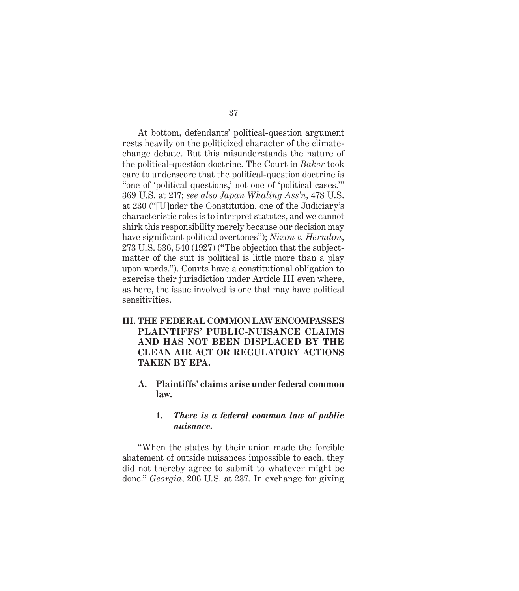At bottom, defendants' political-question argument rests heavily on the politicized character of the climatechange debate. But this misunderstands the nature of the political-question doctrine. The Court in *Baker* took care to underscore that the political-question doctrine is "one of 'political questions,' not one of 'political cases.'" 369 U.S. at 217; *see also Japan Whaling Ass'n*, 478 U.S. at 230 ("[U]nder the Constitution, one of the Judiciary's characteristic roles is to interpret statutes, and we cannot shirk this responsibility merely because our decision may have significant political overtones"); *Nixon v. Herndon*, 273 U.S. 536, 540 (1927) ("The objection that the subjectmatter of the suit is political is little more than a play upon words."). Courts have a constitutional obligation to exercise their jurisdiction under Article III even where, as here, the issue involved is one that may have political sensitivities.

- **III. THE FEDERAL COMMON LAW ENCOMPASSES PLAINTIFFS' PUBLIC-NUISANCE CLAIMS AND HAS NOT BEEN DISPLACED BY THE CLEAN AIR ACT OR REGULATORY ACTIONS TAKEN BY EPA.**
	- **A. Plaintiffs' claims arise under federal common law.**

#### **1.** *There is a federal common law of public nuisance.*

"When the states by their union made the forcible abatement of outside nuisances impossible to each, they did not thereby agree to submit to whatever might be done." *Georgia*, 206 U.S. at 237. In exchange for giving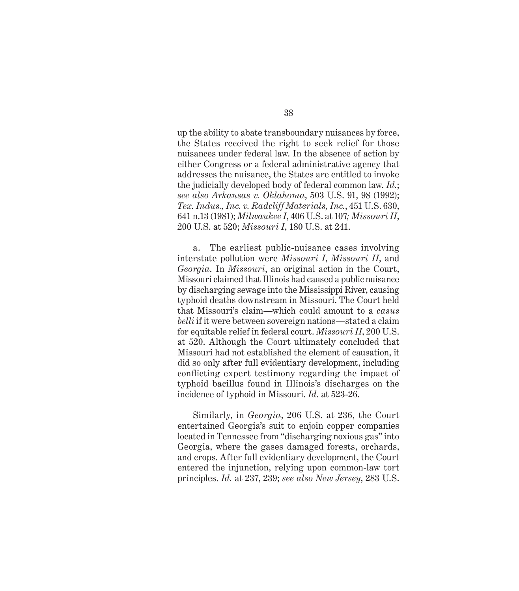up the ability to abate transboundary nuisances by force, the States received the right to seek relief for those nuisances under federal law. In the absence of action by either Congress or a federal administrative agency that addresses the nuisance, the States are entitled to invoke the judicially developed body of federal common law. *Id.*; *see also Arkansas v. Oklahoma*, 503 U.S. 91, 98 (1992); *Tex. Indus., Inc. v. Radcliff Materials, Inc.*, 451 U.S. 630, 641 n.13 (1981); *Milwaukee I*, 406 U.S. at 107*; Missouri II*, 200 U.S. at 520; *Missouri I*, 180 U.S. at 241.

a. The earliest public-nuisance cases involving interstate pollution were *Missouri I*, *Missouri II*, and *Georgia*. In *Missouri*, an original action in the Court, Missouri claimed that Illinois had caused a public nuisance by discharging sewage into the Mississippi River, causing typhoid deaths downstream in Missouri. The Court held that Missouri's claim—which could amount to a *casus belli* if it were between sovereign nations—stated a claim for equitable relief in federal court. *Missouri II*, 200 U.S. at 520. Although the Court ultimately concluded that Missouri had not established the element of causation, it did so only after full evidentiary development, including conflicting expert testimony regarding the impact of typhoid bacillus found in Illinois's discharges on the incidence of typhoid in Missouri. *Id*. at 523-26.

Similarly, in *Georgia*, 206 U.S. at 236, the Court entertained Georgia's suit to enjoin copper companies located in Tennessee from "discharging noxious gas" into Georgia, where the gases damaged forests, orchards, and crops. After full evidentiary development, the Court entered the injunction, relying upon common-law tort principles. *Id.* at 237, 239; *see also New Jersey*, 283 U.S.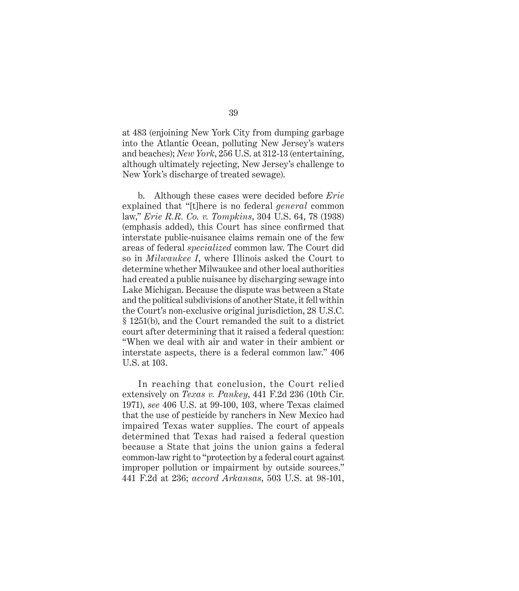at 483 (enjoining New York City from dumping garbage into the Atlantic Ocean, polluting New Jersey's waters and beaches); *New York*, 256 U.S. at 312-13 (entertaining, although ultimately rejecting, New Jersey's challenge to New York's discharge of treated sewage).

b. Although these cases were decided before *Erie*  explained that "[t]here is no federal *general* common law," *Erie R.R. Co. v. Tompkins*, 304 U.S. 64, 78 (1938) (emphasis added), this Court has since confirmed that interstate public-nuisance claims remain one of the few areas of federal *specialized* common law. The Court did so in *Milwaukee I*, where Illinois asked the Court to determine whether Milwaukee and other local authorities had created a public nuisance by discharging sewage into Lake Michigan. Because the dispute was between a State and the political subdivisions of another State, it fell within the Court's non-exclusive original jurisdiction, 28 U.S.C. § 1251(b), and the Court remanded the suit to a district court after determining that it raised a federal question: "When we deal with air and water in their ambient or interstate aspects, there is a federal common law." 406 U.S. at 103.

In reaching that conclusion, the Court relied extensively on *Texas v. Pankey*, 441 F.2d 236 (10th Cir. 1971), *see* 406 U.S. at 99-100, 103, where Texas claimed that the use of pesticide by ranchers in New Mexico had impaired Texas water supplies. The court of appeals determined that Texas had raised a federal question because a State that joins the union gains a federal common-law right to "protection by a federal court against improper pollution or impairment by outside sources." 441 F.2d at 236; *accord Arkansas*, 503 U.S. at 98-101,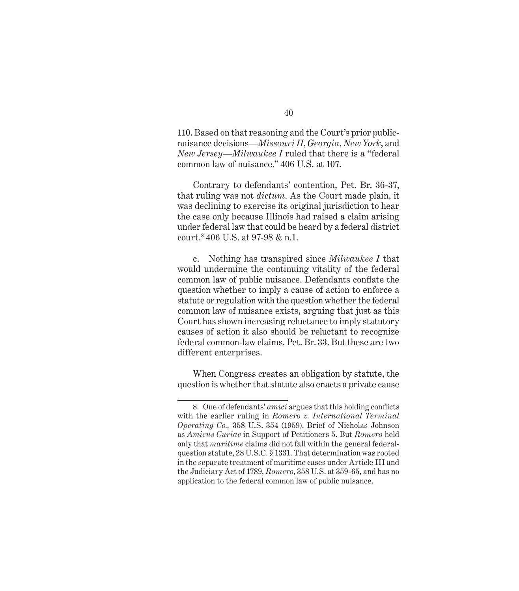110. Based on that reasoning and the Court's prior publicnuisance decisions—*Missouri II*, *Georgia*, *New York*, and *New Jersey*—*Milwaukee I* ruled that there is a "federal common law of nuisance." 406 U.S. at 107.

Contrary to defendants' contention, Pet. Br. 36-37, that ruling was not *dictum*. As the Court made plain, it was declining to exercise its original jurisdiction to hear the case only because Illinois had raised a claim arising under federal law that could be heard by a federal district court.8 406 U.S. at 97-98 & n.1.

c. Nothing has transpired since *Milwaukee I* that would undermine the continuing vitality of the federal common law of public nuisance. Defendants conflate the question whether to imply a cause of action to enforce a statute or regulation with the question whether the federal common law of nuisance exists, arguing that just as this Court has shown increasing reluctance to imply statutory causes of action it also should be reluctant to recognize federal common-law claims. Pet. Br. 33. But these are two different enterprises.

When Congress creates an obligation by statute, the question is whether that statute also enacts a private cause

<sup>8.</sup> One of defendants' *amici* argues that this holding conflicts with the earlier ruling in *Romero v. International Terminal Operating Co.,* 358 U.S. 354 (1959). Brief of Nicholas Johnson as *Amicus Curiae* in Support of Petitioners 5. But *Romero* held only that *maritime* claims did not fall within the general federalquestion statute, 28 U.S.C. § 1331. That determination was rooted in the separate treatment of maritime cases under Article III and the Judiciary Act of 1789, *Romero*, 358 U.S. at 359-65, and has no application to the federal common law of public nuisance.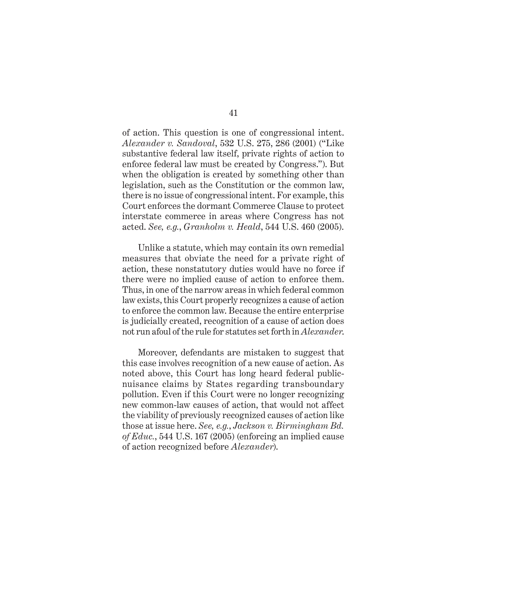of action. This question is one of congressional intent. *Alexander v. Sandoval*, 532 U.S. 275, 286 (2001) ("Like substantive federal law itself, private rights of action to enforce federal law must be created by Congress."). But when the obligation is created by something other than legislation, such as the Constitution or the common law, there is no issue of congressional intent. For example, this Court enforces the dormant Commerce Clause to protect interstate commerce in areas where Congress has not acted. *See, e.g.*, *Granholm v. Heald*, 544 U.S. 460 (2005).

Unlike a statute, which may contain its own remedial measures that obviate the need for a private right of action, these nonstatutory duties would have no force if there were no implied cause of action to enforce them. Thus, in one of the narrow areas in which federal common law exists, this Court properly recognizes a cause of action to enforce the common law. Because the entire enterprise is judicially created, recognition of a cause of action does not run afoul of the rule for statutes set forth in *Alexander*.

Moreover, defendants are mistaken to suggest that this case involves recognition of a new cause of action. As noted above, this Court has long heard federal publicnuisance claims by States regarding transboundary pollution. Even if this Court were no longer recognizing new common-law causes of action, that would not affect the viability of previously recognized causes of action like those at issue here. *See, e.g.*, *Jackson v. Birmingham Bd. of Educ.*, 544 U.S. 167 (2005) (enforcing an implied cause of action recognized before *Alexander*).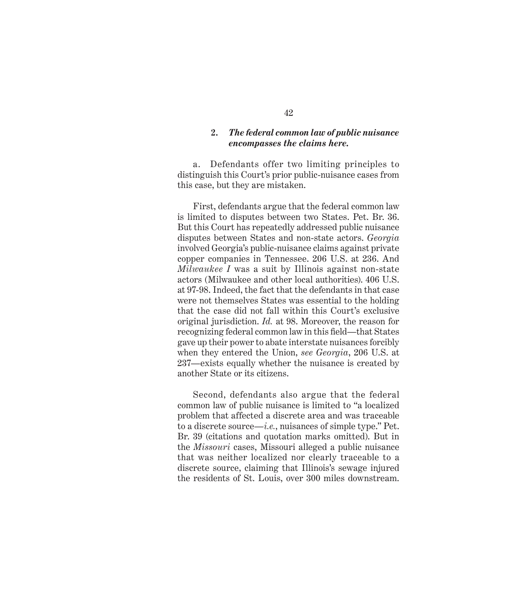#### **2.** *The federal common law of public nuisance encompasses the claims here.*

a. Defendants offer two limiting principles to distinguish this Court's prior public-nuisance cases from this case, but they are mistaken.

First, defendants argue that the federal common law is limited to disputes between two States. Pet. Br. 36. But this Court has repeatedly addressed public nuisance disputes between States and non-state actors. *Georgia*  involved Georgia's public-nuisance claims against private copper companies in Tennessee. 206 U.S. at 236. And *Milwaukee I* was a suit by Illinois against non-state actors (Milwaukee and other local authorities). 406 U.S. at 97-98. Indeed, the fact that the defendants in that case were not themselves States was essential to the holding that the case did not fall within this Court's exclusive original jurisdiction. *Id.* at 98. Moreover, the reason for recognizing federal common law in this field—that States gave up their power to abate interstate nuisances forcibly when they entered the Union, *see Georgia*, 206 U.S. at 237—exists equally whether the nuisance is created by another State or its citizens.

Second, defendants also argue that the federal common law of public nuisance is limited to "a localized problem that affected a discrete area and was traceable to a discrete source—*i.e.*, nuisances of simple type." Pet. Br. 39 (citations and quotation marks omitted). But in the *Missouri* cases, Missouri alleged a public nuisance that was neither localized nor clearly traceable to a discrete source, claiming that Illinois's sewage injured the residents of St. Louis, over 300 miles downstream.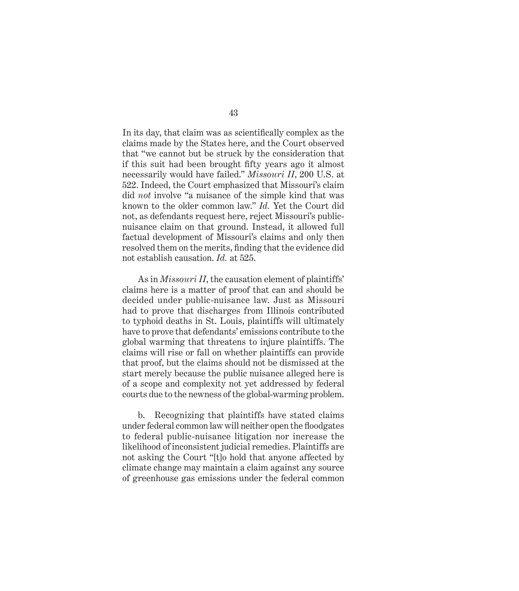In its day, that claim was as scientifically complex as the claims made by the States here, and the Court observed that "we cannot but be struck by the consideration that if this suit had been brought fifty years ago it almost necessarily would have failed." *Missouri II*, 200 U.S. at 522. Indeed, the Court emphasized that Missouri's claim did *not* involve "a nuisance of the simple kind that was known to the older common law." *Id.* Yet the Court did not, as defendants request here, reject Missouri's publicnuisance claim on that ground. Instead, it allowed full factual development of Missouri's claims and only then resolved them on the merits, finding that the evidence did not establish causation. *Id.* at 525.

As in *Missouri II*, the causation element of plaintiffs' claims here is a matter of proof that can and should be decided under public-nuisance law. Just as Missouri had to prove that discharges from Illinois contributed to typhoid deaths in St. Louis, plaintiffs will ultimately have to prove that defendants' emissions contribute to the global warming that threatens to injure plaintiffs. The claims will rise or fall on whether plaintiffs can provide that proof, but the claims should not be dismissed at the start merely because the public nuisance alleged here is of a scope and complexity not yet addressed by federal courts due to the newness of the global-warming problem.

b. Recognizing that plaintiffs have stated claims under federal common law will neither open the floodgates to federal public-nuisance litigation nor increase the likelihood of inconsistent judicial remedies. Plaintiffs are not asking the Court "[t]o hold that anyone affected by climate change may maintain a claim against any source of greenhouse gas emissions under the federal common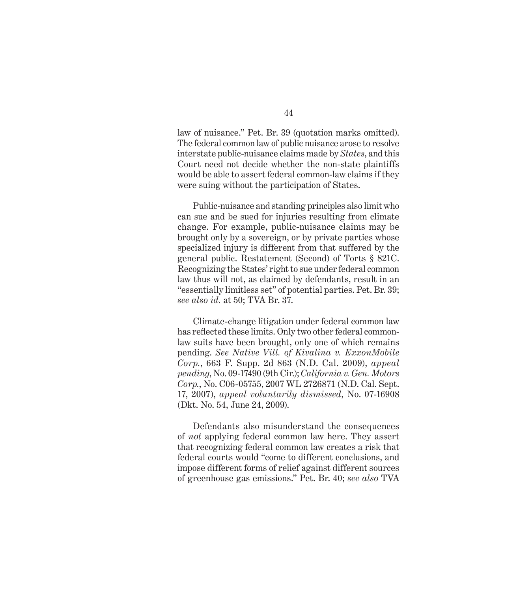law of nuisance." Pet. Br. 39 (quotation marks omitted). The federal common law of public nuisance arose to resolve interstate public-nuisance claims made by *States*, and this Court need not decide whether the non-state plaintiffs would be able to assert federal common-law claims if they were suing without the participation of States.

Public-nuisance and standing principles also limit who can sue and be sued for injuries resulting from climate change. For example, public-nuisance claims may be brought only by a sovereign, or by private parties whose specialized injury is different from that suffered by the general public. Restatement (Second) of Torts § 821C. Recognizing the States' right to sue under federal common law thus will not, as claimed by defendants, result in an "essentially limitless set" of potential parties. Pet. Br. 39; *see also id.* at 50; TVA Br. 37.

Climate-change litigation under federal common law has reflected these limits. Only two other federal commonlaw suits have been brought, only one of which remains pending. *See Native Vill. of Kivalina v. ExxonMobile Corp.*, 663 F. Supp. 2d 863 (N.D. Cal. 2009), *appeal pending*, No. 09-17490 (9th Cir.); *California v. Gen. Motors Corp.*, No. C06-05755, 2007 WL 2726871 (N.D. Cal. Sept. 17, 2007), *appeal voluntarily dismissed*, No. 07-16908 (Dkt. No. 54, June 24, 2009).

Defendants also misunderstand the consequences of *not* applying federal common law here. They assert that recognizing federal common law creates a risk that federal courts would "come to different conclusions, and impose different forms of relief against different sources of greenhouse gas emissions." Pet. Br. 40; *see also* TVA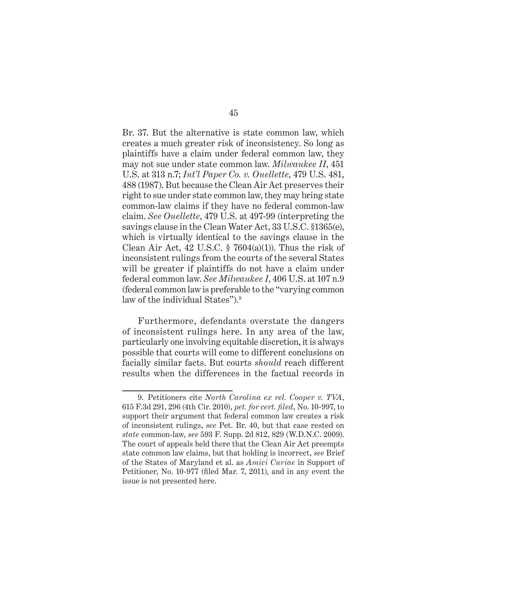Br. 37. But the alternative is state common law, which creates a much greater risk of inconsistency. So long as plaintiffs have a claim under federal common law, they may not sue under state common law. *Milwaukee II*, 451 U.S. at 313 n.7; *Int'l Paper Co. v. Ouellette*, 479 U.S. 481, 488 (1987). But because the Clean Air Act preserves their right to sue under state common law, they may bring state common-law claims if they have no federal common-law claim. *See Ouellette*, 479 U.S. at 497-99 (interpreting the savings clause in the Clean Water Act, 33 U.S.C. §1365(e), which is virtually identical to the savings clause in the Clean Air Act, 42 U.S.C.  $\S$  7604(a)(1)). Thus the risk of inconsistent rulings from the courts of the several States will be greater if plaintiffs do not have a claim under federal common law. *See Milwaukee I*, 406 U.S. at 107 n.9 (federal common law is preferable to the "varying common law of the individual States").<sup>9</sup>

Furthermore, defendants overstate the dangers of inconsistent rulings here. In any area of the law, particularly one involving equitable discretion, it is always possible that courts will come to different conclusions on facially similar facts. But courts *should* reach different results when the differences in the factual records in

<sup>9.</sup> Petitioners cite *North Carolina ex rel. Cooper v. TVA*, 615 F.3d 291, 296 (4th Cir. 2010), *pet. for cert. fi led*, No. 10-997, to support their argument that federal common law creates a risk of inconsistent rulings, *see* Pet. Br. 40, but that case rested on *state* common-law, *see* 593 F. Supp. 2d 812, 829 (W.D.N.C. 2009). The court of appeals held there that the Clean Air Act preempts state common law claims, but that holding is incorrect, *see* Brief of the States of Maryland et al. as *Amici Curiae* in Support of Petitioner, No. 10-977 (filed Mar. 7, 2011), and in any event the issue is not presented here.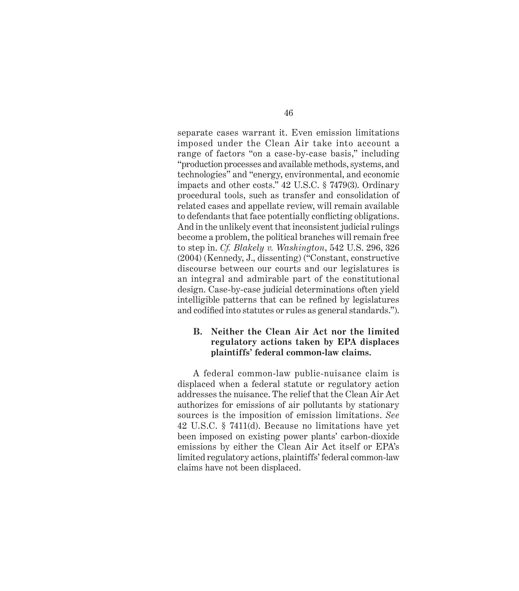separate cases warrant it. Even emission limitations imposed under the Clean Air take into account a range of factors "on a case-by-case basis," including "production processes and available methods, systems, and technologies" and "energy, environmental, and economic impacts and other costs." 42 U.S.C. § 7479(3). Ordinary procedural tools, such as transfer and consolidation of related cases and appellate review, will remain available to defendants that face potentially conflicting obligations. And in the unlikely event that inconsistent judicial rulings become a problem, the political branches will remain free to step in. *Cf. Blakely v. Washington*, 542 U.S. 296, 326 (2004) (Kennedy, J., dissenting) ("Constant, constructive discourse between our courts and our legislatures is an integral and admirable part of the constitutional design. Case-by-case judicial determinations often yield intelligible patterns that can be refined by legislatures and codified into statutes or rules as general standards.").

#### **B. Neither the Clean Air Act nor the limited regulatory actions taken by EPA displaces plaintiffs' federal common-law claims.**

A federal common-law public-nuisance claim is displaced when a federal statute or regulatory action addresses the nuisance. The relief that the Clean Air Act authorizes for emissions of air pollutants by stationary sources is the imposition of emission limitations. *See*  42 U.S.C. § 7411(d). Because no limitations have yet been imposed on existing power plants' carbon-dioxide emissions by either the Clean Air Act itself or EPA's limited regulatory actions, plaintiffs' federal common-law claims have not been displaced.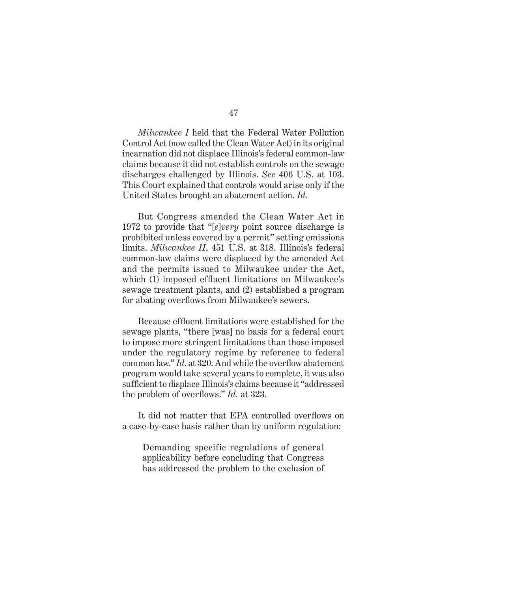*Milwaukee I* held that the Federal Water Pollution Control Act (now called the Clean Water Act) in its original incarnation did not displace Illinois's federal common-law claims because it did not establish controls on the sewage discharges challenged by Illinois. *See* 406 U.S. at 103. This Court explained that controls would arise only if the United States brought an abatement action. *Id.*

But Congress amended the Clean Water Act in 1972 to provide that "[*e*]*very* point source discharge is prohibited unless covered by a permit" setting emissions limits. *Milwaukee II*, 451 U.S. at 318. Illinois's federal common-law claims were displaced by the amended Act and the permits issued to Milwaukee under the Act, which (1) imposed effluent limitations on Milwaukee's sewage treatment plants, and (2) established a program for abating overflows from Milwaukee's sewers.

Because effluent limitations were established for the sewage plants, "there [was] no basis for a federal court to impose more stringent limitations than those imposed under the regulatory regime by reference to federal common law." *Id.* at 320. And while the overflow abatement program would take several years to complete, it was also sufficient to displace Illinois's claims because it "addressed the problem of overflows." *Id.* at 323.

It did not matter that EPA controlled overflows on a case-by-case basis rather than by uniform regulation:

Demanding specific regulations of general applicability before concluding that Congress has addressed the problem to the exclusion of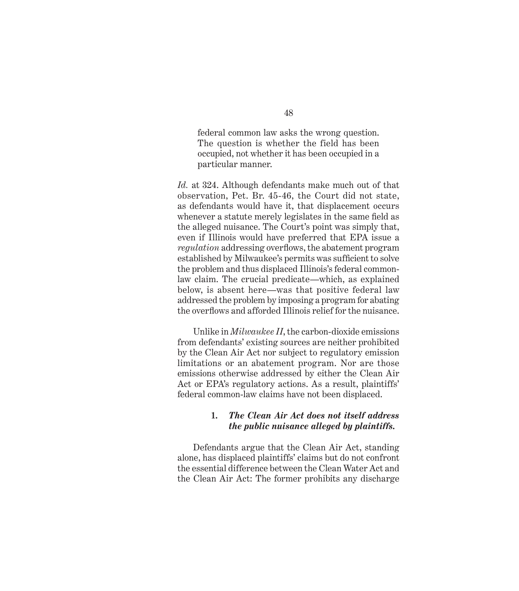federal common law asks the wrong question. The question is whether the field has been occupied, not whether it has been occupied in a particular manner.

*Id.* at 324. Although defendants make much out of that observation, Pet. Br. 45-46, the Court did not state, as defendants would have it, that displacement occurs whenever a statute merely legislates in the same field as the alleged nuisance. The Court's point was simply that, even if Illinois would have preferred that EPA issue a *regulation* addressing overflows, the abatement program established by Milwaukee's permits was sufficient to solve the problem and thus displaced Illinois's federal commonlaw claim. The crucial predicate—which, as explained below, is absent here—was that positive federal law addressed the problem by imposing a program for abating the overflows and afforded Illinois relief for the nuisance.

Unlike in *Milwaukee II*, the carbon-dioxide emissions from defendants' existing sources are neither prohibited by the Clean Air Act nor subject to regulatory emission limitations or an abatement program. Nor are those emissions otherwise addressed by either the Clean Air Act or EPA's regulatory actions. As a result, plaintiffs' federal common-law claims have not been displaced.

### **1.** *The Clean Air Act does not itself address the public nuisance alleged by plaintiffs.*

Defendants argue that the Clean Air Act, standing alone, has displaced plaintiffs' claims but do not confront the essential difference between the Clean Water Act and the Clean Air Act: The former prohibits any discharge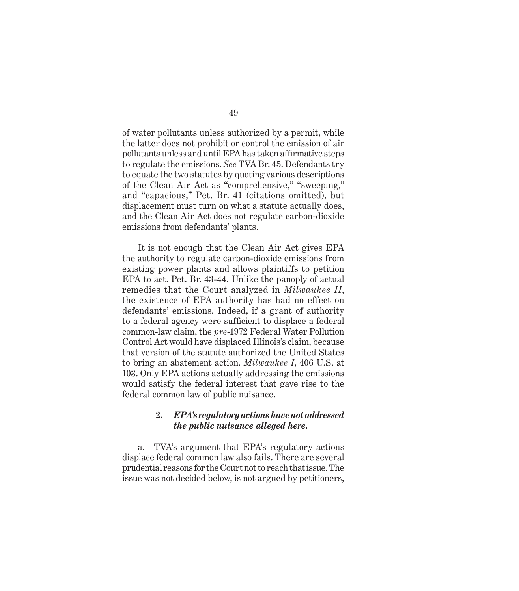of water pollutants unless authorized by a permit, while the latter does not prohibit or control the emission of air pollutants unless and until EPA has taken affirmative steps to regulate the emissions. *See* TVA Br. 45. Defendants try to equate the two statutes by quoting various descriptions of the Clean Air Act as "comprehensive," "sweeping," and "capacious," Pet. Br. 41 (citations omitted), but displacement must turn on what a statute actually does, and the Clean Air Act does not regulate carbon-dioxide emissions from defendants' plants.

It is not enough that the Clean Air Act gives EPA the authority to regulate carbon-dioxide emissions from existing power plants and allows plaintiffs to petition EPA to act. Pet. Br. 43-44. Unlike the panoply of actual remedies that the Court analyzed in *Milwaukee II*, the existence of EPA authority has had no effect on defendants' emissions. Indeed, if a grant of authority to a federal agency were sufficient to displace a federal common-law claim, the *pre*-1972 Federal Water Pollution Control Act would have displaced Illinois's claim, because that version of the statute authorized the United States to bring an abatement action. *Milwaukee I*, 406 U.S. at 103. Only EPA actions actually addressing the emissions would satisfy the federal interest that gave rise to the federal common law of public nuisance.

#### **2.** *EPA's regulatory actions have not addressed the public nuisance alleged here.*

a. TVA's argument that EPA's regulatory actions displace federal common law also fails. There are several prudential reasons for the Court not to reach that issue. The issue was not decided below, is not argued by petitioners,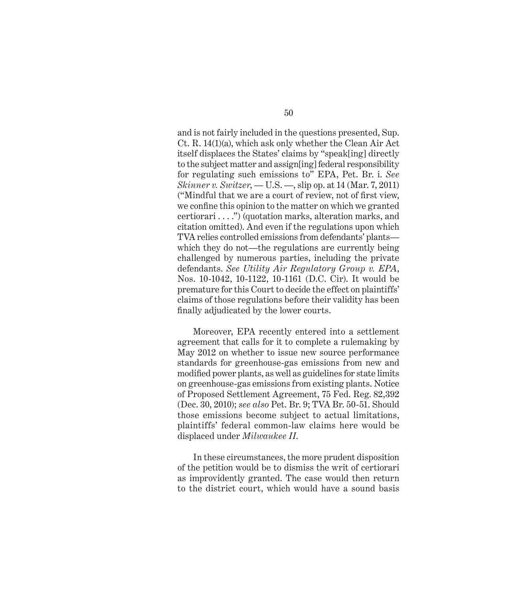and is not fairly included in the questions presented, Sup. Ct. R. 14(1)(a), which ask only whether the Clean Air Act itself displaces the States' claims by "speak[ing] directly to the subject matter and assign[ing] federal responsibility for regulating such emissions to" EPA, Pet. Br. i. *See Skinner v. Switzer*, — U.S. —, slip op. at 14 (Mar. 7, 2011) ("Mindful that we are a court of review, not of first view, we confine this opinion to the matter on which we granted certiorari . . . .") (quotation marks, alteration marks, and citation omitted). And even if the regulations upon which TVA relies controlled emissions from defendants' plants which they do not—the regulations are currently being challenged by numerous parties, including the private defendants. *See Utility Air Regulatory Group v. EPA*, Nos. 10-1042, 10-1122, 10-1161 (D.C. Cir). It would be premature for this Court to decide the effect on plaintiffs' claims of those regulations before their validity has been finally adjudicated by the lower courts.

Moreover, EPA recently entered into a settlement agreement that calls for it to complete a rulemaking by May 2012 on whether to issue new source performance standards for greenhouse-gas emissions from new and modified power plants, as well as guidelines for state limits on greenhouse-gas emissions from existing plants. Notice of Proposed Settlement Agreement, 75 Fed. Reg. 82,392 (Dec. 30, 2010); *see also* Pet. Br. 9; TVA Br. 50-51. Should those emissions become subject to actual limitations, plaintiffs' federal common-law claims here would be displaced under *Milwaukee II*.

In these circumstances, the more prudent disposition of the petition would be to dismiss the writ of certiorari as improvidently granted. The case would then return to the district court, which would have a sound basis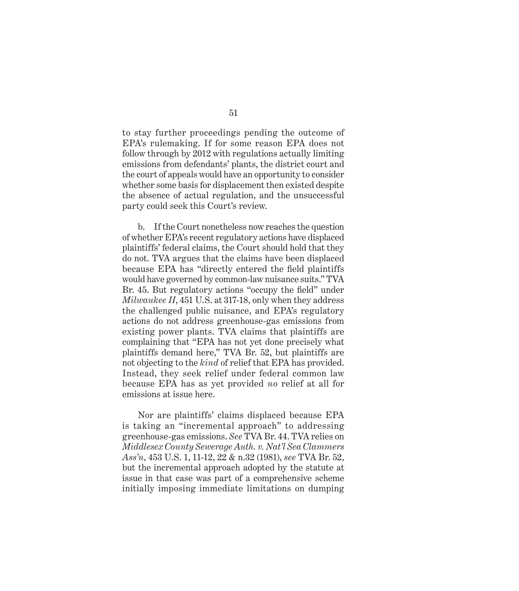to stay further proceedings pending the outcome of EPA's rulemaking. If for some reason EPA does not follow through by 2012 with regulations actually limiting emissions from defendants' plants, the district court and the court of appeals would have an opportunity to consider whether some basis for displacement then existed despite the absence of actual regulation, and the unsuccessful party could seek this Court's review.

b. If the Court nonetheless now reaches the question of whether EPA's recent regulatory actions have displaced plaintiffs' federal claims, the Court should hold that they do not. TVA argues that the claims have been displaced because EPA has "directly entered the field plaintiffs" would have governed by common-law nuisance suits." TVA Br. 45. But regulatory actions "occupy the field" under *Milwaukee II*, 451 U.S. at 317-18, only when they address the challenged public nuisance, and EPA's regulatory actions do not address greenhouse-gas emissions from existing power plants. TVA claims that plaintiffs are complaining that "EPA has not yet done precisely what plaintiffs demand here," TVA Br. 52, but plaintiffs are not objecting to the *kind* of relief that EPA has provided. Instead, they seek relief under federal common law because EPA has as yet provided *no* relief at all for emissions at issue here.

Nor are plaintiffs' claims displaced because EPA is taking an "incremental approach" to addressing greenhouse-gas emissions. *See* TVA Br. 44. TVA relies on *Middlesex County Sewerage Auth. v. Nat'l Sea Clammers Ass'n*, 453 U.S. 1, 11-12, 22 & n.32 (1981), *see* TVA Br. 52, but the incremental approach adopted by the statute at issue in that case was part of a comprehensive scheme initially imposing immediate limitations on dumping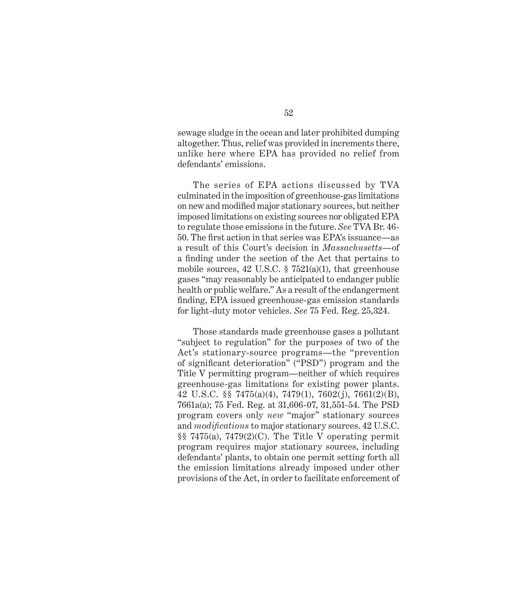sewage sludge in the ocean and later prohibited dumping altogether. Thus, relief was provided in increments there, unlike here where EPA has provided no relief from defendants' emissions.

The series of EPA actions discussed by TVA culminated in the imposition of greenhouse-gas limitations on new and modified major stationary sources, but neither imposed limitations on existing sources nor obligated EPA to regulate those emissions in the future. *See* TVA Br. 46- 50. The first action in that series was EPA's issuance—as a result of this Court's decision in *Massachusetts—*of a finding under the section of the Act that pertains to mobile sources, 42 U.S.C.  $\S$  7521(a)(1), that greenhouse gases "may reasonably be anticipated to endanger public health or public welfare." As a result of the endangerment fi nding, EPA issued greenhouse-gas emission standards for light-duty motor vehicles. *See* 75 Fed. Reg. 25,324.

Those standards made greenhouse gases a pollutant "subject to regulation" for the purposes of two of the Act's stationary-source programs—the "prevention of significant deterioration" ("PSD") program and the Title V permitting program—neither of which requires greenhouse-gas limitations for existing power plants. 42 U.S.C. §§ 7475(a)(4), 7479(1), 7602(j), 7661(2)(B), 7661a(a); 75 Fed. Reg. at 31,606-07, 31,551-54. The PSD program covers only *new* "major" stationary sources and *modifications* to major stationary sources. 42 U.S.C. §§ 7475(a), 7479(2)(C). The Title V operating permit program requires major stationary sources, including defendants' plants, to obtain one permit setting forth all the emission limitations already imposed under other provisions of the Act, in order to facilitate enforcement of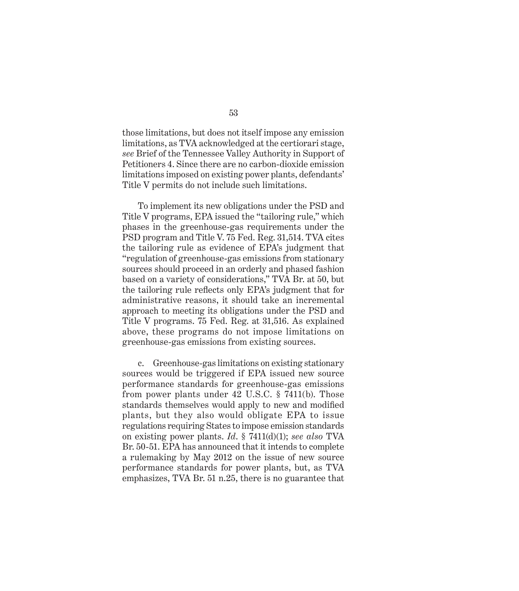those limitations, but does not itself impose any emission limitations, as TVA acknowledged at the certiorari stage, *see* Brief of the Tennessee Valley Authority in Support of Petitioners 4. Since there are no carbon-dioxide emission limitations imposed on existing power plants, defendants' Title V permits do not include such limitations.

To implement its new obligations under the PSD and Title V programs, EPA issued the "tailoring rule," which phases in the greenhouse-gas requirements under the PSD program and Title V. 75 Fed. Reg. 31,514. TVA cites the tailoring rule as evidence of EPA's judgment that "regulation of greenhouse-gas emissions from stationary sources should proceed in an orderly and phased fashion based on a variety of considerations," TVA Br. at 50, but the tailoring rule reflects only EPA's judgment that for administrative reasons, it should take an incremental approach to meeting its obligations under the PSD and Title V programs. 75 Fed. Reg. at 31,516. As explained above, these programs do not impose limitations on greenhouse-gas emissions from existing sources.

c. Greenhouse-gas limitations on existing stationary sources would be triggered if EPA issued new source performance standards for greenhouse-gas emissions from power plants under 42 U.S.C. § 7411(b). Those standards themselves would apply to new and modified plants, but they also would obligate EPA to issue regulations requiring States to impose emission standards on existing power plants. *Id*. § 7411(d)(1); *see also* TVA Br. 50-51. EPA has announced that it intends to complete a rulemaking by May 2012 on the issue of new source performance standards for power plants, but, as TVA emphasizes, TVA Br. 51 n.25, there is no guarantee that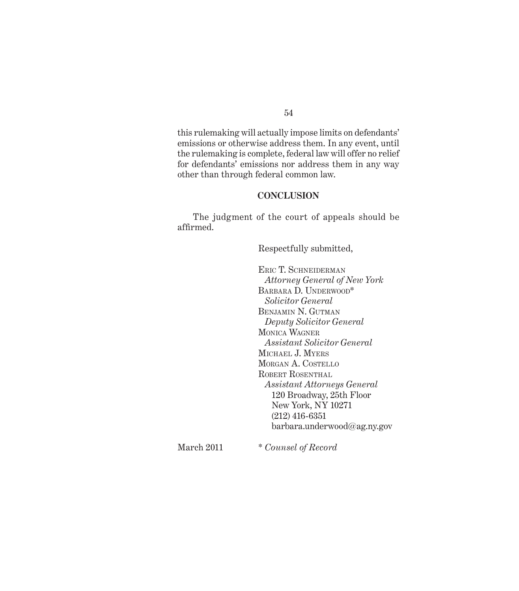#### 54

this rulemaking will actually impose limits on defendants' emissions or otherwise address them. In any event, until the rulemaking is complete, federal law will offer no relief for defendants' emissions nor address them in any way other than through federal common law.

#### **CONCLUSION**

The judgment of the court of appeals should be affirmed.

Respectfully submitted,

ERIC T. SCHNEIDERMAN *Attorney General of New York* BARBARA D. UNDERWOOD\* *Solicitor General* BENJAMIN N. GUTMAN *Deputy Solicitor General* MONICA WAGNER *Assistant Solicitor General* MICHAEL J. MYERS MORGAN A. COSTELLO ROBERT ROSENTHAL *Assistant Attorneys General* 120 Broadway, 25th Floor New York, NY 10271 (212) 416-6351 barbara.underwood@ag.ny.gov

March 2011 \* *Counsel of Record*